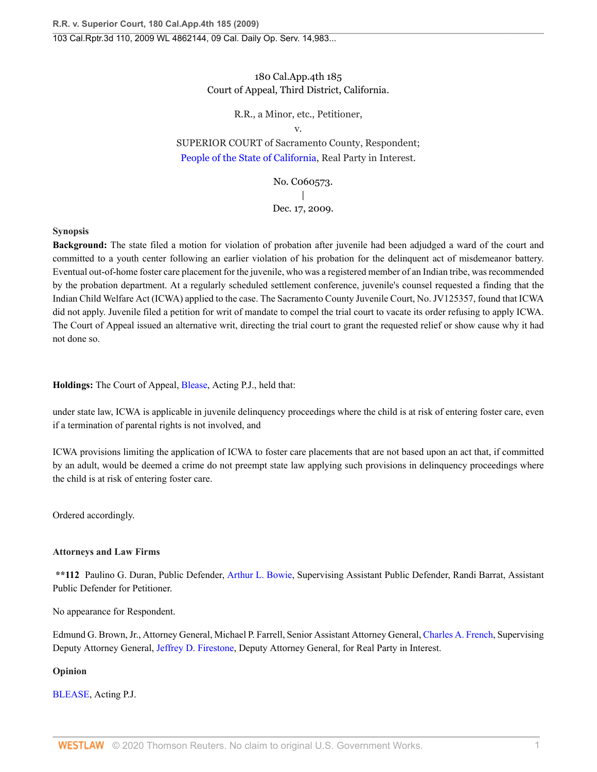# 180 Cal.App.4th 185 Court of Appeal, Third District, California.

# R.R., a Minor, etc., Petitioner,

v.

SUPERIOR COURT of Sacramento County, Respondent; [People of the State of California,](http://www.westlaw.com/Search/Results.html?query=advanced%3a+OAID(5050992210)&saveJuris=False&contentType=BUSINESS-INVESTIGATOR&startIndex=1&contextData=(sc.Default)&categoryPageUrl=Home%2fCompanyInvestigator&originationContext=document&vr=3.0&rs=cblt1.0&transitionType=DocumentItem) Real Party in Interest.

> No. C060573.  $\perp$ Dec. 17, 2009.

# **Synopsis**

**Background:** The state filed a motion for violation of probation after juvenile had been adjudged a ward of the court and committed to a youth center following an earlier violation of his probation for the delinquent act of misdemeanor battery. Eventual out-of-home foster care placement for the juvenile, who was a registered member of an Indian tribe, was recommended by the probation department. At a regularly scheduled settlement conference, juvenile's counsel requested a finding that the Indian Child Welfare Act (ICWA) applied to the case. The Sacramento County Juvenile Court, No. JV125357, found that ICWA did not apply. Juvenile filed a petition for writ of mandate to compel the trial court to vacate its order refusing to apply ICWA. The Court of Appeal issued an alternative writ, directing the trial court to grant the requested relief or show cause why it had not done so.

**Holdings:** The Court of Appeal, [Blease,](http://www.westlaw.com/Link/Document/FullText?findType=h&pubNum=176284&cite=0243160501&originatingDoc=I99a66bd4eb8211dea82ab9f4ee295c21&refType=RQ&originationContext=document&vr=3.0&rs=cblt1.0&transitionType=DocumentItem&contextData=(sc.UserEnteredCitation)) Acting P.J., held that:

under state law, ICWA is applicable in juvenile delinquency proceedings where the child is at risk of entering foster care, even if a termination of parental rights is not involved, and

ICWA provisions limiting the application of ICWA to foster care placements that are not based upon an act that, if committed by an adult, would be deemed a crime do not preempt state law applying such provisions in delinquency proceedings where the child is at risk of entering foster care.

Ordered accordingly.

# **Attorneys and Law Firms**

**\*\*112** Paulino G. Duran, Public Defender, [Arthur L. Bowie,](http://www.westlaw.com/Link/Document/FullText?findType=h&pubNum=176284&cite=0302897101&originatingDoc=I99a66bd4eb8211dea82ab9f4ee295c21&refType=RQ&originationContext=document&vr=3.0&rs=cblt1.0&transitionType=DocumentItem&contextData=(sc.UserEnteredCitation)) Supervising Assistant Public Defender, Randi Barrat, Assistant Public Defender for Petitioner.

No appearance for Respondent.

Edmund G. Brown, Jr., Attorney General, Michael P. Farrell, Senior Assistant Attorney General, [Charles A. French,](http://www.westlaw.com/Link/Document/FullText?findType=h&pubNum=176284&cite=0460838001&originatingDoc=I99a66bd4eb8211dea82ab9f4ee295c21&refType=RQ&originationContext=document&vr=3.0&rs=cblt1.0&transitionType=DocumentItem&contextData=(sc.UserEnteredCitation)) Supervising Deputy Attorney General, [Jeffrey D. Firestone](http://www.westlaw.com/Link/Document/FullText?findType=h&pubNum=176284&cite=0259611401&originatingDoc=I99a66bd4eb8211dea82ab9f4ee295c21&refType=RQ&originationContext=document&vr=3.0&rs=cblt1.0&transitionType=DocumentItem&contextData=(sc.UserEnteredCitation)), Deputy Attorney General, for Real Party in Interest.

# **Opinion**

[BLEASE,](http://www.westlaw.com/Link/Document/FullText?findType=h&pubNum=176284&cite=0243160501&originatingDoc=I99a66bd4eb8211dea82ab9f4ee295c21&refType=RQ&originationContext=document&vr=3.0&rs=cblt1.0&transitionType=DocumentItem&contextData=(sc.UserEnteredCitation)) Acting P.J.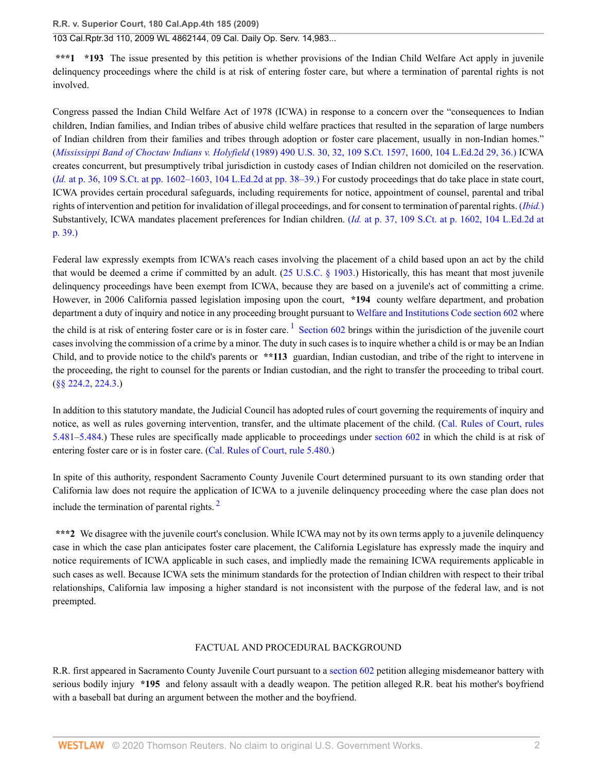103 Cal.Rptr.3d 110, 2009 WL 4862144, 09 Cal. Daily Op. Serv. 14,983...

**\*\*\*1 \*193** The issue presented by this petition is whether provisions of the Indian Child Welfare Act apply in juvenile delinquency proceedings where the child is at risk of entering foster care, but where a termination of parental rights is not involved.

Congress passed the Indian Child Welfare Act of 1978 (ICWA) in response to a concern over the "consequences to Indian children, Indian families, and Indian tribes of abusive child welfare practices that resulted in the separation of large numbers of Indian children from their families and tribes through adoption or foster care placement, usually in non-Indian homes." (*Mississippi Band of Choctaw Indians v. Holyfield* [\(1989\) 490 U.S. 30, 32, 109 S.Ct. 1597, 1600, 104 L.Ed.2d 29, 36.\)](http://www.westlaw.com/Link/Document/FullText?findType=Y&serNum=1989048372&pubNum=708&originatingDoc=I99a66bd4eb8211dea82ab9f4ee295c21&refType=RP&fi=co_pp_sp_708_1600&originationContext=document&vr=3.0&rs=cblt1.0&transitionType=DocumentItem&contextData=(sc.UserEnteredCitation)#co_pp_sp_708_1600) ICWA creates concurrent, but presumptively tribal jurisdiction in custody cases of Indian children not domiciled on the reservation. (*Id.* [at p. 36, 109 S.Ct. at pp. 1602–1603, 104 L.Ed.2d at pp. 38–39.\)](http://www.westlaw.com/Link/Document/FullText?findType=Y&serNum=1989048372&pubNum=708&originatingDoc=I99a66bd4eb8211dea82ab9f4ee295c21&refType=RP&fi=co_pp_sp_708_1602&originationContext=document&vr=3.0&rs=cblt1.0&transitionType=DocumentItem&contextData=(sc.UserEnteredCitation)#co_pp_sp_708_1602) For custody proceedings that do take place in state court, ICWA provides certain procedural safeguards, including requirements for notice, appointment of counsel, parental and tribal rights of intervention and petition for invalidation of illegal proceedings, and for consent to termination of parental rights. (*[Ibid.](http://www.westlaw.com/Link/Document/FullText?findType=Y&serNum=1989048372&originatingDoc=I99a66bd4eb8211dea82ab9f4ee295c21&refType=RP&originationContext=document&vr=3.0&rs=cblt1.0&transitionType=DocumentItem&contextData=(sc.UserEnteredCitation))*) Substantively, ICWA mandates placement preferences for Indian children. (*Id.* [at p. 37, 109 S.Ct. at p. 1602, 104 L.Ed.2d at](http://www.westlaw.com/Link/Document/FullText?findType=Y&serNum=1989048372&pubNum=708&originatingDoc=I99a66bd4eb8211dea82ab9f4ee295c21&refType=RP&fi=co_pp_sp_708_1602&originationContext=document&vr=3.0&rs=cblt1.0&transitionType=DocumentItem&contextData=(sc.UserEnteredCitation)#co_pp_sp_708_1602) [p. 39.\)](http://www.westlaw.com/Link/Document/FullText?findType=Y&serNum=1989048372&pubNum=708&originatingDoc=I99a66bd4eb8211dea82ab9f4ee295c21&refType=RP&fi=co_pp_sp_708_1602&originationContext=document&vr=3.0&rs=cblt1.0&transitionType=DocumentItem&contextData=(sc.UserEnteredCitation)#co_pp_sp_708_1602)

<span id="page-1-0"></span>Federal law expressly exempts from ICWA's reach cases involving the placement of a child based upon an act by the child that would be deemed a crime if committed by an adult. ([25 U.S.C. § 1903](http://www.westlaw.com/Link/Document/FullText?findType=L&pubNum=1000546&cite=25USCAS1903&originatingDoc=I99a66bd4eb8211dea82ab9f4ee295c21&refType=LQ&originationContext=document&vr=3.0&rs=cblt1.0&transitionType=DocumentItem&contextData=(sc.UserEnteredCitation)).) Historically, this has meant that most juvenile delinquency proceedings have been exempt from ICWA, because they are based on a juvenile's act of committing a crime. However, in 2006 California passed legislation imposing upon the court, **\*194** county welfare department, and probation department a duty of inquiry and notice in any proceeding brought pursuant to [Welfare and Institutions Code section 602](http://www.westlaw.com/Link/Document/FullText?findType=L&pubNum=1000228&cite=CAWIS602&originatingDoc=I99a66bd4eb8211dea82ab9f4ee295c21&refType=LQ&originationContext=document&vr=3.0&rs=cblt1.0&transitionType=DocumentItem&contextData=(sc.UserEnteredCitation)) where the child is at risk of entering foster care or is in foster care.<sup>[1](#page-10-0)</sup> [Section 602](http://www.westlaw.com/Link/Document/FullText?findType=L&pubNum=1000228&cite=CAWIS602&originatingDoc=I99a66bd4eb8211dea82ab9f4ee295c21&refType=LQ&originationContext=document&vr=3.0&rs=cblt1.0&transitionType=DocumentItem&contextData=(sc.UserEnteredCitation)) brings within the jurisdiction of the juvenile court cases involving the commission of a crime by a minor. The duty in such cases is to inquire whether a child is or may be an Indian Child, and to provide notice to the child's parents or **\*\*113** guardian, Indian custodian, and tribe of the right to intervene in the proceeding, the right to counsel for the parents or Indian custodian, and the right to transfer the proceeding to tribal court. [\(§§ 224.2](http://www.westlaw.com/Link/Document/FullText?findType=L&pubNum=1000228&cite=CAWIS224.2&originatingDoc=I99a66bd4eb8211dea82ab9f4ee295c21&refType=LQ&originationContext=document&vr=3.0&rs=cblt1.0&transitionType=DocumentItem&contextData=(sc.UserEnteredCitation)), [224.3.](http://www.westlaw.com/Link/Document/FullText?findType=L&pubNum=1000228&cite=CAWIS224.3&originatingDoc=I99a66bd4eb8211dea82ab9f4ee295c21&refType=LQ&originationContext=document&vr=3.0&rs=cblt1.0&transitionType=DocumentItem&contextData=(sc.UserEnteredCitation)))

In addition to this statutory mandate, the Judicial Council has adopted rules of court governing the requirements of inquiry and notice, as well as rules governing intervention, transfer, and the ultimate placement of the child. ([Cal. Rules of Court, rules](http://www.westlaw.com/Link/Document/FullText?findType=L&pubNum=1085231&cite=CASTFAMJVR5.481&originatingDoc=I99a66bd4eb8211dea82ab9f4ee295c21&refType=LQ&originationContext=document&vr=3.0&rs=cblt1.0&transitionType=DocumentItem&contextData=(sc.UserEnteredCitation)) [5.481](http://www.westlaw.com/Link/Document/FullText?findType=L&pubNum=1085231&cite=CASTFAMJVR5.481&originatingDoc=I99a66bd4eb8211dea82ab9f4ee295c21&refType=LQ&originationContext=document&vr=3.0&rs=cblt1.0&transitionType=DocumentItem&contextData=(sc.UserEnteredCitation))–[5.484](http://www.westlaw.com/Link/Document/FullText?findType=L&pubNum=1085231&cite=CASTFAMJVR5.484&originatingDoc=I99a66bd4eb8211dea82ab9f4ee295c21&refType=LQ&originationContext=document&vr=3.0&rs=cblt1.0&transitionType=DocumentItem&contextData=(sc.UserEnteredCitation)).) These rules are specifically made applicable to proceedings under [section 602](http://www.westlaw.com/Link/Document/FullText?findType=L&pubNum=1000228&cite=CAWIS602&originatingDoc=I99a66bd4eb8211dea82ab9f4ee295c21&refType=LQ&originationContext=document&vr=3.0&rs=cblt1.0&transitionType=DocumentItem&contextData=(sc.UserEnteredCitation)) in which the child is at risk of entering foster care or is in foster care. [\(Cal. Rules of Court, rule 5.480](http://www.westlaw.com/Link/Document/FullText?findType=L&pubNum=1085231&cite=CASTFAMJVR5.480&originatingDoc=I99a66bd4eb8211dea82ab9f4ee295c21&refType=LQ&originationContext=document&vr=3.0&rs=cblt1.0&transitionType=DocumentItem&contextData=(sc.UserEnteredCitation)).)

In spite of this authority, respondent Sacramento County Juvenile Court determined pursuant to its own standing order that California law does not require the application of ICWA to a juvenile delinquency proceeding where the case plan does not include the termination of parental rights.  $2$ 

**\*\*\*2** We disagree with the juvenile court's conclusion. While ICWA may not by its own terms apply to a juvenile delinquency case in which the case plan anticipates foster care placement, the California Legislature has expressly made the inquiry and notice requirements of ICWA applicable in such cases, and impliedly made the remaining ICWA requirements applicable in such cases as well. Because ICWA sets the minimum standards for the protection of Indian children with respect to their tribal relationships, California law imposing a higher standard is not inconsistent with the purpose of the federal law, and is not preempted.

# <span id="page-1-1"></span>FACTUAL AND PROCEDURAL BACKGROUND

R.R. first appeared in Sacramento County Juvenile Court pursuant to a [section 602](http://www.westlaw.com/Link/Document/FullText?findType=L&pubNum=1000228&cite=CAWIS602&originatingDoc=I99a66bd4eb8211dea82ab9f4ee295c21&refType=LQ&originationContext=document&vr=3.0&rs=cblt1.0&transitionType=DocumentItem&contextData=(sc.UserEnteredCitation)) petition alleging misdemeanor battery with serious bodily injury **\*195** and felony assault with a deadly weapon. The petition alleged R.R. beat his mother's boyfriend with a baseball bat during an argument between the mother and the boyfriend.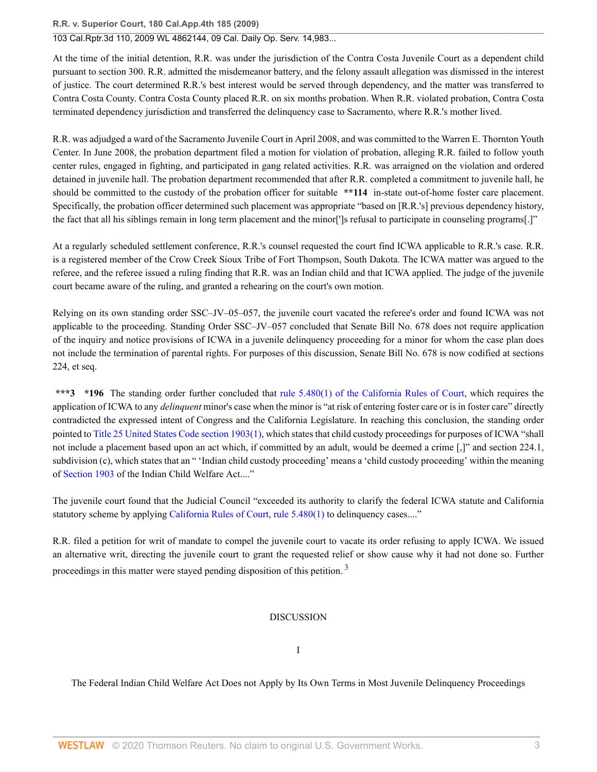# 103 Cal.Rptr.3d 110, 2009 WL 4862144, 09 Cal. Daily Op. Serv. 14,983...

At the time of the initial detention, R.R. was under the jurisdiction of the Contra Costa Juvenile Court as a dependent child pursuant to section 300. R.R. admitted the misdemeanor battery, and the felony assault allegation was dismissed in the interest of justice. The court determined R.R.'s best interest would be served through dependency, and the matter was transferred to Contra Costa County. Contra Costa County placed R.R. on six months probation. When R.R. violated probation, Contra Costa terminated dependency jurisdiction and transferred the delinquency case to Sacramento, where R.R.'s mother lived.

R.R. was adjudged a ward of the Sacramento Juvenile Court in April 2008, and was committed to the Warren E. Thornton Youth Center. In June 2008, the probation department filed a motion for violation of probation, alleging R.R. failed to follow youth center rules, engaged in fighting, and participated in gang related activities. R.R. was arraigned on the violation and ordered detained in juvenile hall. The probation department recommended that after R.R. completed a commitment to juvenile hall, he should be committed to the custody of the probation officer for suitable **\*\*114** in-state out-of-home foster care placement. Specifically, the probation officer determined such placement was appropriate "based on [R.R.'s] previous dependency history, the fact that all his siblings remain in long term placement and the minor[']s refusal to participate in counseling programs[.]"

At a regularly scheduled settlement conference, R.R.'s counsel requested the court find ICWA applicable to R.R.'s case. R.R. is a registered member of the Crow Creek Sioux Tribe of Fort Thompson, South Dakota. The ICWA matter was argued to the referee, and the referee issued a ruling finding that R.R. was an Indian child and that ICWA applied. The judge of the juvenile court became aware of the ruling, and granted a rehearing on the court's own motion.

Relying on its own standing order SSC–JV–05–057, the juvenile court vacated the referee's order and found ICWA was not applicable to the proceeding. Standing Order SSC–JV–057 concluded that Senate Bill No. 678 does not require application of the inquiry and notice provisions of ICWA in a juvenile delinquency proceeding for a minor for whom the case plan does not include the termination of parental rights. For purposes of this discussion, Senate Bill No. 678 is now codified at sections 224, et seq.

**\*\*\*3 \*196** The standing order further concluded that [rule 5.480\(1\) of the California Rules of Court](http://www.westlaw.com/Link/Document/FullText?findType=L&pubNum=1085231&cite=CASTFAMJVR5.480&originatingDoc=I99a66bd4eb8211dea82ab9f4ee295c21&refType=SP&originationContext=document&vr=3.0&rs=cblt1.0&transitionType=DocumentItem&contextData=(sc.UserEnteredCitation)#co_pp_f1c50000821b0), which requires the application of ICWA to any *delinquent* minor's case when the minor is "at risk of entering foster care or is in foster care" directly contradicted the expressed intent of Congress and the California Legislature. In reaching this conclusion, the standing order pointed to [Title 25 United States Code section 1903\(1\)](http://www.westlaw.com/Link/Document/FullText?findType=L&pubNum=1000546&cite=25USCAS1903&originatingDoc=I99a66bd4eb8211dea82ab9f4ee295c21&refType=RB&originationContext=document&vr=3.0&rs=cblt1.0&transitionType=DocumentItem&contextData=(sc.UserEnteredCitation)#co_pp_f1c50000821b0), which states that child custody proceedings for purposes of ICWA "shall not include a placement based upon an act which, if committed by an adult, would be deemed a crime [,]" and section 224.1, subdivision (c), which states that an " 'Indian child custody proceeding' means a 'child custody proceeding' within the meaning of [Section 1903](http://www.westlaw.com/Link/Document/FullText?findType=L&pubNum=1000546&cite=25USCAS1903&originatingDoc=I99a66bd4eb8211dea82ab9f4ee295c21&refType=LQ&originationContext=document&vr=3.0&rs=cblt1.0&transitionType=DocumentItem&contextData=(sc.UserEnteredCitation)) of the Indian Child Welfare Act...."

The juvenile court found that the Judicial Council "exceeded its authority to clarify the federal ICWA statute and California statutory scheme by applying [California Rules of Court, rule 5.480\(1\)](http://www.westlaw.com/Link/Document/FullText?findType=L&pubNum=1085231&cite=CASTFAMJVR5.480&originatingDoc=I99a66bd4eb8211dea82ab9f4ee295c21&refType=SP&originationContext=document&vr=3.0&rs=cblt1.0&transitionType=DocumentItem&contextData=(sc.UserEnteredCitation)#co_pp_f1c50000821b0) to delinquency cases...."

R.R. filed a petition for writ of mandate to compel the juvenile court to vacate its order refusing to apply ICWA. We issued an alternative writ, directing the juvenile court to grant the requested relief or show cause why it had not done so. Further proceedings in this matter were stayed pending disposition of this petition.<sup>[3](#page-10-2)</sup>

### <span id="page-2-0"></span>DISCUSSION

I

The Federal Indian Child Welfare Act Does not Apply by Its Own Terms in Most Juvenile Delinquency Proceedings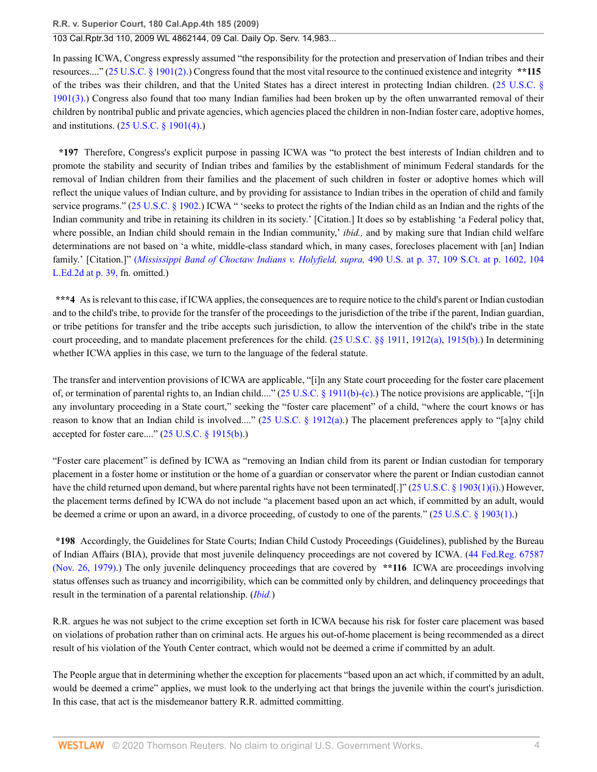# 103 Cal.Rptr.3d 110, 2009 WL 4862144, 09 Cal. Daily Op. Serv. 14,983...

In passing ICWA, Congress expressly assumed "the responsibility for the protection and preservation of Indian tribes and their resources...." [\(25 U.S.C. § 1901\(2\).](http://www.westlaw.com/Link/Document/FullText?findType=L&pubNum=1000546&cite=25USCAS1901&originatingDoc=I99a66bd4eb8211dea82ab9f4ee295c21&refType=RB&originationContext=document&vr=3.0&rs=cblt1.0&transitionType=DocumentItem&contextData=(sc.UserEnteredCitation)#co_pp_58730000872b1)) Congress found that the most vital resource to the continued existence and integrity **\*\*115** of the tribes was their children, and that the United States has a direct interest in protecting Indian children. ([25 U.S.C. §](http://www.westlaw.com/Link/Document/FullText?findType=L&pubNum=1000546&cite=25USCAS1901&originatingDoc=I99a66bd4eb8211dea82ab9f4ee295c21&refType=RB&originationContext=document&vr=3.0&rs=cblt1.0&transitionType=DocumentItem&contextData=(sc.UserEnteredCitation)#co_pp_d08f0000f5f67) [1901\(3\).](http://www.westlaw.com/Link/Document/FullText?findType=L&pubNum=1000546&cite=25USCAS1901&originatingDoc=I99a66bd4eb8211dea82ab9f4ee295c21&refType=RB&originationContext=document&vr=3.0&rs=cblt1.0&transitionType=DocumentItem&contextData=(sc.UserEnteredCitation)#co_pp_d08f0000f5f67)) Congress also found that too many Indian families had been broken up by the often unwarranted removal of their children by nontribal public and private agencies, which agencies placed the children in non-Indian foster care, adoptive homes, and institutions. ([25 U.S.C. § 1901\(4\).](http://www.westlaw.com/Link/Document/FullText?findType=L&pubNum=1000546&cite=25USCAS1901&originatingDoc=I99a66bd4eb8211dea82ab9f4ee295c21&refType=RB&originationContext=document&vr=3.0&rs=cblt1.0&transitionType=DocumentItem&contextData=(sc.UserEnteredCitation)#co_pp_0bd500007a412))

**\*197** Therefore, Congress's explicit purpose in passing ICWA was "to protect the best interests of Indian children and to promote the stability and security of Indian tribes and families by the establishment of minimum Federal standards for the removal of Indian children from their families and the placement of such children in foster or adoptive homes which will reflect the unique values of Indian culture, and by providing for assistance to Indian tribes in the operation of child and family service programs." ([25 U.S.C. § 1902.](http://www.westlaw.com/Link/Document/FullText?findType=L&pubNum=1000546&cite=25USCAS1902&originatingDoc=I99a66bd4eb8211dea82ab9f4ee295c21&refType=LQ&originationContext=document&vr=3.0&rs=cblt1.0&transitionType=DocumentItem&contextData=(sc.UserEnteredCitation))) ICWA " 'seeks to protect the rights of the Indian child as an Indian and the rights of the Indian community and tribe in retaining its children in its society.' [Citation.] It does so by establishing 'a Federal policy that, where possible, an Indian child should remain in the Indian community,' *ibid.,* and by making sure that Indian child welfare determinations are not based on 'a white, middle-class standard which, in many cases, forecloses placement with [an] Indian family.' [Citation.]" (*[Mississippi Band of Choctaw Indians v. Holyfield, supra,](http://www.westlaw.com/Link/Document/FullText?findType=Y&serNum=1989048372&pubNum=708&originatingDoc=I99a66bd4eb8211dea82ab9f4ee295c21&refType=RP&fi=co_pp_sp_708_1602&originationContext=document&vr=3.0&rs=cblt1.0&transitionType=DocumentItem&contextData=(sc.UserEnteredCitation)#co_pp_sp_708_1602)* 490 U.S. at p. 37, 109 S.Ct. at p. 1602, 104 [L.Ed.2d at p. 39,](http://www.westlaw.com/Link/Document/FullText?findType=Y&serNum=1989048372&pubNum=708&originatingDoc=I99a66bd4eb8211dea82ab9f4ee295c21&refType=RP&fi=co_pp_sp_708_1602&originationContext=document&vr=3.0&rs=cblt1.0&transitionType=DocumentItem&contextData=(sc.UserEnteredCitation)#co_pp_sp_708_1602) fn. omitted.)

\*\*\*4 As is relevant to this case, if ICWA applies, the consequences are to require notice to the child's parent or Indian custodian and to the child's tribe, to provide for the transfer of the proceedings to the jurisdiction of the tribe if the parent, Indian guardian, or tribe petitions for transfer and the tribe accepts such jurisdiction, to allow the intervention of the child's tribe in the state court proceeding, and to mandate placement preferences for the child.  $(25 \text{ U.S.C. }$  §§ 1911, [1912\(a\)](http://www.westlaw.com/Link/Document/FullText?findType=L&pubNum=1000546&cite=25USCAS1912&originatingDoc=I99a66bd4eb8211dea82ab9f4ee295c21&refType=RB&originationContext=document&vr=3.0&rs=cblt1.0&transitionType=DocumentItem&contextData=(sc.UserEnteredCitation)#co_pp_8b3b0000958a4), [1915\(b\)](http://www.westlaw.com/Link/Document/FullText?findType=L&pubNum=1000546&cite=25USCAS1915&originatingDoc=I99a66bd4eb8211dea82ab9f4ee295c21&refType=RB&originationContext=document&vr=3.0&rs=cblt1.0&transitionType=DocumentItem&contextData=(sc.UserEnteredCitation)#co_pp_a83b000018c76).) In determining whether ICWA applies in this case, we turn to the language of the federal statute.

The transfer and intervention provisions of ICWA are applicable, "[i]n any State court proceeding for the foster care placement of, or termination of parental rights to, an Indian child...." [\(25 U.S.C. § 1911\(b\)](http://www.westlaw.com/Link/Document/FullText?findType=L&pubNum=1000546&cite=25USCAS1911&originatingDoc=I99a66bd4eb8211dea82ab9f4ee295c21&refType=RB&originationContext=document&vr=3.0&rs=cblt1.0&transitionType=DocumentItem&contextData=(sc.UserEnteredCitation)#co_pp_a83b000018c76)[-\(c\)](http://www.westlaw.com/Link/Document/FullText?findType=L&pubNum=1000546&cite=25USCAS1911&originatingDoc=I99a66bd4eb8211dea82ab9f4ee295c21&refType=RE&originationContext=document&vr=3.0&rs=cblt1.0&transitionType=DocumentItem&contextData=(sc.UserEnteredCitation)#co_pp_4b24000003ba5).) The notice provisions are applicable, "[i]n any involuntary proceeding in a State court," seeking the "foster care placement" of a child, "where the court knows or has reason to know that an Indian child is involved...." ([25 U.S.C. § 1912\(a\)](http://www.westlaw.com/Link/Document/FullText?findType=L&pubNum=1000546&cite=25USCAS1912&originatingDoc=I99a66bd4eb8211dea82ab9f4ee295c21&refType=RB&originationContext=document&vr=3.0&rs=cblt1.0&transitionType=DocumentItem&contextData=(sc.UserEnteredCitation)#co_pp_8b3b0000958a4).) The placement preferences apply to "[a]ny child accepted for foster care...." ([25 U.S.C. § 1915\(b\).](http://www.westlaw.com/Link/Document/FullText?findType=L&pubNum=1000546&cite=25USCAS1915&originatingDoc=I99a66bd4eb8211dea82ab9f4ee295c21&refType=RB&originationContext=document&vr=3.0&rs=cblt1.0&transitionType=DocumentItem&contextData=(sc.UserEnteredCitation)#co_pp_a83b000018c76))

"Foster care placement" is defined by ICWA as "removing an Indian child from its parent or Indian custodian for temporary placement in a foster home or institution or the home of a guardian or conservator where the parent or Indian custodian cannot have the child returned upon demand, but where parental rights have not been terminated[.]" [\(25 U.S.C. § 1903\(1\)\(i\)](http://www.westlaw.com/Link/Document/FullText?findType=L&pubNum=1000546&cite=25USCAS1903&originatingDoc=I99a66bd4eb8211dea82ab9f4ee295c21&refType=RB&originationContext=document&vr=3.0&rs=cblt1.0&transitionType=DocumentItem&contextData=(sc.UserEnteredCitation)#co_pp_36dc0000f1000).) However, the placement terms defined by ICWA do not include "a placement based upon an act which, if committed by an adult, would be deemed a crime or upon an award, in a divorce proceeding, of custody to one of the parents." [\(25 U.S.C. § 1903\(1\)](http://www.westlaw.com/Link/Document/FullText?findType=L&pubNum=1000546&cite=25USCAS1903&originatingDoc=I99a66bd4eb8211dea82ab9f4ee295c21&refType=RB&originationContext=document&vr=3.0&rs=cblt1.0&transitionType=DocumentItem&contextData=(sc.UserEnteredCitation)#co_pp_f1c50000821b0).)

**\*198** Accordingly, the Guidelines for State Courts; Indian Child Custody Proceedings (Guidelines), published by the Bureau of Indian Affairs (BIA), provide that most juvenile delinquency proceedings are not covered by ICWA. ([44 Fed.Reg. 67587](http://www.westlaw.com/Link/Document/FullText?findType=l&pubNum=0184735&cite=UUID(ICD918E004B3111DA943A000BDBC9A81C)&originatingDoc=I99a66bd4eb8211dea82ab9f4ee295c21&refType=CP&originationContext=document&vr=3.0&rs=cblt1.0&transitionType=DocumentItem&contextData=(sc.UserEnteredCitation)) [\(Nov. 26, 1979\).](http://www.westlaw.com/Link/Document/FullText?findType=l&pubNum=0184735&cite=UUID(ICD918E004B3111DA943A000BDBC9A81C)&originatingDoc=I99a66bd4eb8211dea82ab9f4ee295c21&refType=CP&originationContext=document&vr=3.0&rs=cblt1.0&transitionType=DocumentItem&contextData=(sc.UserEnteredCitation))) The only juvenile delinquency proceedings that are covered by **\*\*116** ICWA are proceedings involving status offenses such as truancy and incorrigibility, which can be committed only by children, and delinquency proceedings that result in the termination of a parental relationship. (*[Ibid.](http://www.westlaw.com/Link/Document/FullText?findType=l&pubNum=0184735&cite=UUID(ICD918E004B3111DA943A000BDBC9A81C)&originatingDoc=I99a66bd4eb8211dea82ab9f4ee295c21&refType=CP&originationContext=document&vr=3.0&rs=cblt1.0&transitionType=DocumentItem&contextData=(sc.UserEnteredCitation))*)

R.R. argues he was not subject to the crime exception set forth in ICWA because his risk for foster care placement was based on violations of probation rather than on criminal acts. He argues his out-of-home placement is being recommended as a direct result of his violation of the Youth Center contract, which would not be deemed a crime if committed by an adult.

The People argue that in determining whether the exception for placements "based upon an act which, if committed by an adult, would be deemed a crime" applies, we must look to the underlying act that brings the juvenile within the court's jurisdiction. In this case, that act is the misdemeanor battery R.R. admitted committing.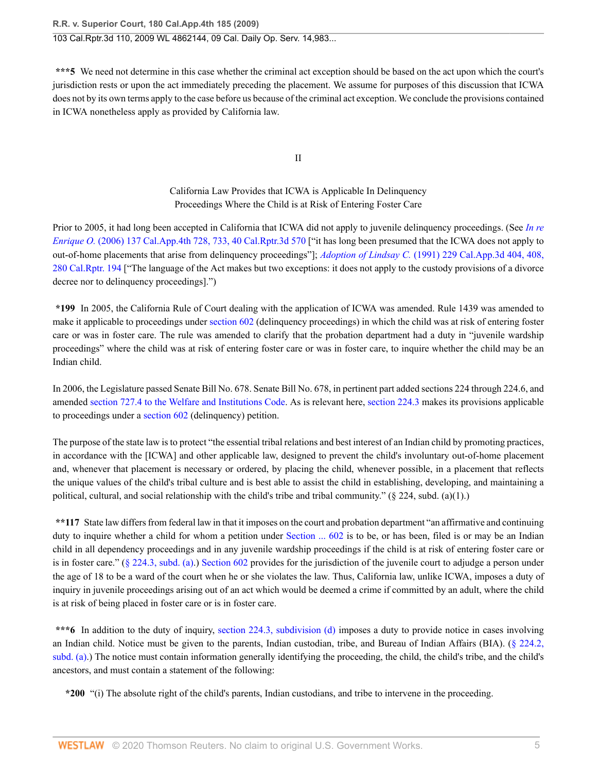**\*\*\*5** We need not determine in this case whether the criminal act exception should be based on the act upon which the court's jurisdiction rests or upon the act immediately preceding the placement. We assume for purposes of this discussion that ICWA does not by its own terms apply to the case before us because of the criminal act exception. We conclude the provisions contained in ICWA nonetheless apply as provided by California law.

II

California Law Provides that ICWA is Applicable In Delinquency Proceedings Where the Child is at Risk of Entering Foster Care

Prior to 2005, it had long been accepted in California that ICWA did not apply to juvenile delinquency proceedings. (See *[In re](http://www.westlaw.com/Link/Document/FullText?findType=Y&serNum=2008662464&pubNum=0007047&originatingDoc=I99a66bd4eb8211dea82ab9f4ee295c21&refType=RP&originationContext=document&vr=3.0&rs=cblt1.0&transitionType=DocumentItem&contextData=(sc.UserEnteredCitation)) Enrique O.* [\(2006\) 137 Cal.App.4th 728, 733, 40 Cal.Rptr.3d 570](http://www.westlaw.com/Link/Document/FullText?findType=Y&serNum=2008662464&pubNum=0007047&originatingDoc=I99a66bd4eb8211dea82ab9f4ee295c21&refType=RP&originationContext=document&vr=3.0&rs=cblt1.0&transitionType=DocumentItem&contextData=(sc.UserEnteredCitation)) ["it has long been presumed that the ICWA does not apply to out-of-home placements that arise from delinquency proceedings"]; *Adoption of Lindsay C.* [\(1991\) 229 Cal.App.3d 404, 408,](http://www.westlaw.com/Link/Document/FullText?findType=Y&serNum=1991078418&pubNum=0000227&originatingDoc=I99a66bd4eb8211dea82ab9f4ee295c21&refType=RP&originationContext=document&vr=3.0&rs=cblt1.0&transitionType=DocumentItem&contextData=(sc.UserEnteredCitation)) [280 Cal.Rptr. 194](http://www.westlaw.com/Link/Document/FullText?findType=Y&serNum=1991078418&pubNum=0000227&originatingDoc=I99a66bd4eb8211dea82ab9f4ee295c21&refType=RP&originationContext=document&vr=3.0&rs=cblt1.0&transitionType=DocumentItem&contextData=(sc.UserEnteredCitation)) ["The language of the Act makes but two exceptions: it does not apply to the custody provisions of a divorce decree nor to delinquency proceedings].")

**\*199** In 2005, the California Rule of Court dealing with the application of ICWA was amended. Rule 1439 was amended to make it applicable to proceedings under [section 602](http://www.westlaw.com/Link/Document/FullText?findType=L&pubNum=1000228&cite=CAWIS602&originatingDoc=I99a66bd4eb8211dea82ab9f4ee295c21&refType=LQ&originationContext=document&vr=3.0&rs=cblt1.0&transitionType=DocumentItem&contextData=(sc.UserEnteredCitation)) (delinquency proceedings) in which the child was at risk of entering foster care or was in foster care. The rule was amended to clarify that the probation department had a duty in "juvenile wardship proceedings" where the child was at risk of entering foster care or was in foster care, to inquire whether the child may be an Indian child.

In 2006, the Legislature passed Senate Bill No. 678. Senate Bill No. 678, in pertinent part added sections 224 through 224.6, and amended [section 727.4 to the Welfare and Institutions Code.](http://www.westlaw.com/Link/Document/FullText?findType=L&pubNum=1000228&cite=CAWIS727.4&originatingDoc=I99a66bd4eb8211dea82ab9f4ee295c21&refType=LQ&originationContext=document&vr=3.0&rs=cblt1.0&transitionType=DocumentItem&contextData=(sc.UserEnteredCitation)) As is relevant here, [section 224.3](http://www.westlaw.com/Link/Document/FullText?findType=L&pubNum=1000228&cite=CAWIS224.3&originatingDoc=I99a66bd4eb8211dea82ab9f4ee295c21&refType=LQ&originationContext=document&vr=3.0&rs=cblt1.0&transitionType=DocumentItem&contextData=(sc.UserEnteredCitation)) makes its provisions applicable to proceedings under a [section 602](http://www.westlaw.com/Link/Document/FullText?findType=L&pubNum=1000228&cite=CAWIS602&originatingDoc=I99a66bd4eb8211dea82ab9f4ee295c21&refType=LQ&originationContext=document&vr=3.0&rs=cblt1.0&transitionType=DocumentItem&contextData=(sc.UserEnteredCitation)) (delinquency) petition.

The purpose of the state law is to protect "the essential tribal relations and best interest of an Indian child by promoting practices, in accordance with the [ICWA] and other applicable law, designed to prevent the child's involuntary out-of-home placement and, whenever that placement is necessary or ordered, by placing the child, whenever possible, in a placement that reflects the unique values of the child's tribal culture and is best able to assist the child in establishing, developing, and maintaining a political, cultural, and social relationship with the child's tribe and tribal community." (§ 224, subd. (a)(1).)

**\*\*117** State law differs from federal law in that it imposes on the court and probation department "an affirmative and continuing duty to inquire whether a child for whom a petition under [Section ... 602](http://www.westlaw.com/Link/Document/FullText?findType=L&pubNum=1000298&cite=CAWIS602&originatingDoc=I99a66bd4eb8211dea82ab9f4ee295c21&refType=LQ&originationContext=document&vr=3.0&rs=cblt1.0&transitionType=DocumentItem&contextData=(sc.UserEnteredCitation)) is to be, or has been, filed is or may be an Indian child in all dependency proceedings and in any juvenile wardship proceedings if the child is at risk of entering foster care or is in foster care." [\(§ 224.3, subd. \(a\)](http://www.westlaw.com/Link/Document/FullText?findType=L&pubNum=1000228&cite=CAWIS224.3&originatingDoc=I99a66bd4eb8211dea82ab9f4ee295c21&refType=SP&originationContext=document&vr=3.0&rs=cblt1.0&transitionType=DocumentItem&contextData=(sc.UserEnteredCitation)#co_pp_8b3b0000958a4).) [Section 602](http://www.westlaw.com/Link/Document/FullText?findType=L&pubNum=1000228&cite=CAWIS602&originatingDoc=I99a66bd4eb8211dea82ab9f4ee295c21&refType=LQ&originationContext=document&vr=3.0&rs=cblt1.0&transitionType=DocumentItem&contextData=(sc.UserEnteredCitation)) provides for the jurisdiction of the juvenile court to adjudge a person under the age of 18 to be a ward of the court when he or she violates the law. Thus, California law, unlike ICWA, imposes a duty of inquiry in juvenile proceedings arising out of an act which would be deemed a crime if committed by an adult, where the child is at risk of being placed in foster care or is in foster care.

**\*\*\*6** In addition to the duty of inquiry, [section 224.3, subdivision \(d\)](http://www.westlaw.com/Link/Document/FullText?findType=L&pubNum=1000228&cite=CAWIS224.3&originatingDoc=I99a66bd4eb8211dea82ab9f4ee295c21&refType=SP&originationContext=document&vr=3.0&rs=cblt1.0&transitionType=DocumentItem&contextData=(sc.UserEnteredCitation)#co_pp_5ba1000067d06) imposes a duty to provide notice in cases involving an Indian child. Notice must be given to the parents, Indian custodian, tribe, and Bureau of Indian Affairs (BIA). ([§ 224.2,](http://www.westlaw.com/Link/Document/FullText?findType=L&pubNum=1000228&cite=CAWIS224.2&originatingDoc=I99a66bd4eb8211dea82ab9f4ee295c21&refType=SP&originationContext=document&vr=3.0&rs=cblt1.0&transitionType=DocumentItem&contextData=(sc.UserEnteredCitation)#co_pp_8b3b0000958a4) [subd. \(a\).](http://www.westlaw.com/Link/Document/FullText?findType=L&pubNum=1000228&cite=CAWIS224.2&originatingDoc=I99a66bd4eb8211dea82ab9f4ee295c21&refType=SP&originationContext=document&vr=3.0&rs=cblt1.0&transitionType=DocumentItem&contextData=(sc.UserEnteredCitation)#co_pp_8b3b0000958a4)) The notice must contain information generally identifying the proceeding, the child, the child's tribe, and the child's ancestors, and must contain a statement of the following:

**\*200** "(i) The absolute right of the child's parents, Indian custodians, and tribe to intervene in the proceeding.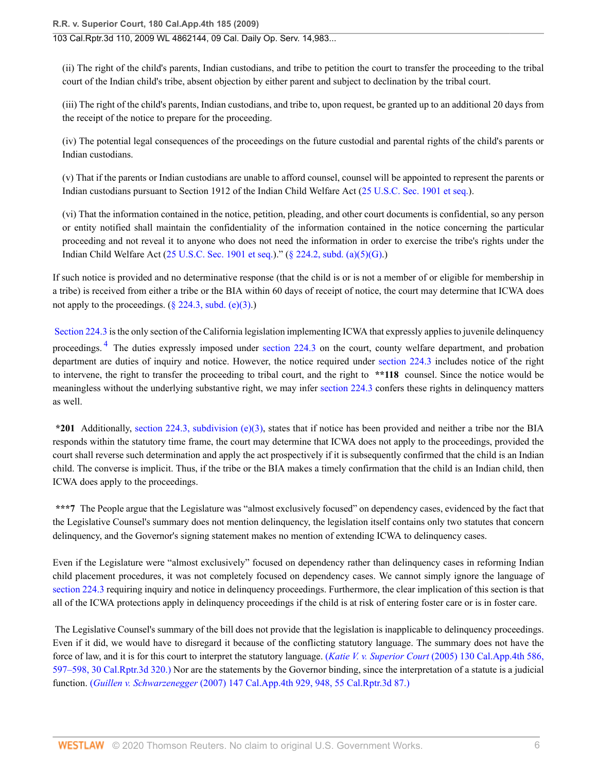(ii) The right of the child's parents, Indian custodians, and tribe to petition the court to transfer the proceeding to the tribal court of the Indian child's tribe, absent objection by either parent and subject to declination by the tribal court.

(iii) The right of the child's parents, Indian custodians, and tribe to, upon request, be granted up to an additional 20 days from the receipt of the notice to prepare for the proceeding.

(iv) The potential legal consequences of the proceedings on the future custodial and parental rights of the child's parents or Indian custodians.

(v) That if the parents or Indian custodians are unable to afford counsel, counsel will be appointed to represent the parents or Indian custodians pursuant to Section 1912 of the Indian Child Welfare Act [\(25 U.S.C. Sec. 1901 et seq.\)](http://www.westlaw.com/Link/Document/FullText?findType=L&pubNum=1000546&cite=25USCAS1901&originatingDoc=I99a66bd4eb8211dea82ab9f4ee295c21&refType=LQ&originationContext=document&vr=3.0&rs=cblt1.0&transitionType=DocumentItem&contextData=(sc.UserEnteredCitation)).

(vi) That the information contained in the notice, petition, pleading, and other court documents is confidential, so any person or entity notified shall maintain the confidentiality of the information contained in the notice concerning the particular proceeding and not reveal it to anyone who does not need the information in order to exercise the tribe's rights under the Indian Child Welfare Act ([25 U.S.C. Sec. 1901 et seq.](http://www.westlaw.com/Link/Document/FullText?findType=L&pubNum=1000546&cite=25USCAS1901&originatingDoc=I99a66bd4eb8211dea82ab9f4ee295c21&refType=LQ&originationContext=document&vr=3.0&rs=cblt1.0&transitionType=DocumentItem&contextData=(sc.UserEnteredCitation)))." [\(§ 224.2, subd. \(a\)\(5\)\(G\).](http://www.westlaw.com/Link/Document/FullText?findType=L&pubNum=1000228&cite=CAWIS224.2&originatingDoc=I99a66bd4eb8211dea82ab9f4ee295c21&refType=SP&originationContext=document&vr=3.0&rs=cblt1.0&transitionType=DocumentItem&contextData=(sc.UserEnteredCitation)#co_pp_8b3b0000958a4))

If such notice is provided and no determinative response (that the child is or is not a member of or eligible for membership in a tribe) is received from either a tribe or the BIA within 60 days of receipt of notice, the court may determine that ICWA does not apply to the proceedings.  $(\S$  224.3, subd. (e)(3).)

<span id="page-5-0"></span>[Section 224.3](http://www.westlaw.com/Link/Document/FullText?findType=L&pubNum=1000228&cite=CAWIS224.3&originatingDoc=I99a66bd4eb8211dea82ab9f4ee295c21&refType=LQ&originationContext=document&vr=3.0&rs=cblt1.0&transitionType=DocumentItem&contextData=(sc.UserEnteredCitation)) is the only section of the California legislation implementing ICWA that expressly applies to juvenile delinquency proceedings.<sup>[4](#page-10-3)</sup> The duties expressly imposed under [section 224.3](http://www.westlaw.com/Link/Document/FullText?findType=L&pubNum=1000228&cite=CAWIS224.3&originatingDoc=I99a66bd4eb8211dea82ab9f4ee295c21&refType=LQ&originationContext=document&vr=3.0&rs=cblt1.0&transitionType=DocumentItem&contextData=(sc.UserEnteredCitation)) on the court, county welfare department, and probation department are duties of inquiry and notice. However, the notice required under [section 224.3](http://www.westlaw.com/Link/Document/FullText?findType=L&pubNum=1000228&cite=CAWIS224.3&originatingDoc=I99a66bd4eb8211dea82ab9f4ee295c21&refType=LQ&originationContext=document&vr=3.0&rs=cblt1.0&transitionType=DocumentItem&contextData=(sc.UserEnteredCitation)) includes notice of the right to intervene, the right to transfer the proceeding to tribal court, and the right to **\*\*118** counsel. Since the notice would be meaningless without the underlying substantive right, we may infer [section 224.3](http://www.westlaw.com/Link/Document/FullText?findType=L&pubNum=1000228&cite=CAWIS224.3&originatingDoc=I99a66bd4eb8211dea82ab9f4ee295c21&refType=LQ&originationContext=document&vr=3.0&rs=cblt1.0&transitionType=DocumentItem&contextData=(sc.UserEnteredCitation)) confers these rights in delinquency matters as well.

**\*201** Additionally, [section 224.3, subdivision \(e\)\(3\),](http://www.westlaw.com/Link/Document/FullText?findType=L&pubNum=1000228&cite=CAWIS224.3&originatingDoc=I99a66bd4eb8211dea82ab9f4ee295c21&refType=SP&originationContext=document&vr=3.0&rs=cblt1.0&transitionType=DocumentItem&contextData=(sc.UserEnteredCitation)#co_pp_7fdd00001ca15) states that if notice has been provided and neither a tribe nor the BIA responds within the statutory time frame, the court may determine that ICWA does not apply to the proceedings, provided the court shall reverse such determination and apply the act prospectively if it is subsequently confirmed that the child is an Indian child. The converse is implicit. Thus, if the tribe or the BIA makes a timely confirmation that the child is an Indian child, then ICWA does apply to the proceedings.

\*\*\*7 The People argue that the Legislature was "almost exclusively focused" on dependency cases, evidenced by the fact that the Legislative Counsel's summary does not mention delinquency, the legislation itself contains only two statutes that concern delinquency, and the Governor's signing statement makes no mention of extending ICWA to delinquency cases.

Even if the Legislature were "almost exclusively" focused on dependency rather than delinquency cases in reforming Indian child placement procedures, it was not completely focused on dependency cases. We cannot simply ignore the language of [section 224.3](http://www.westlaw.com/Link/Document/FullText?findType=L&pubNum=1000228&cite=CAWIS224.3&originatingDoc=I99a66bd4eb8211dea82ab9f4ee295c21&refType=LQ&originationContext=document&vr=3.0&rs=cblt1.0&transitionType=DocumentItem&contextData=(sc.UserEnteredCitation)) requiring inquiry and notice in delinquency proceedings. Furthermore, the clear implication of this section is that all of the ICWA protections apply in delinquency proceedings if the child is at risk of entering foster care or is in foster care.

 The Legislative Counsel's summary of the bill does not provide that the legislation is inapplicable to delinquency proceedings. Even if it did, we would have to disregard it because of the conflicting statutory language. The summary does not have the force of law, and it is for this court to interpret the statutory language. (*Katie V. v. Superior Court* [\(2005\) 130 Cal.App.4th 586,](http://www.westlaw.com/Link/Document/FullText?findType=Y&serNum=2006842868&pubNum=7047&originatingDoc=I99a66bd4eb8211dea82ab9f4ee295c21&refType=RP&originationContext=document&vr=3.0&rs=cblt1.0&transitionType=DocumentItem&contextData=(sc.UserEnteredCitation)) [597–598, 30 Cal.Rptr.3d 320.\)](http://www.westlaw.com/Link/Document/FullText?findType=Y&serNum=2006842868&pubNum=7047&originatingDoc=I99a66bd4eb8211dea82ab9f4ee295c21&refType=RP&originationContext=document&vr=3.0&rs=cblt1.0&transitionType=DocumentItem&contextData=(sc.UserEnteredCitation)) Nor are the statements by the Governor binding, since the interpretation of a statute is a judicial function. (*Guillen v. Schwarzenegger* [\(2007\) 147 Cal.App.4th 929, 948, 55 Cal.Rptr.3d 87.\)](http://www.westlaw.com/Link/Document/FullText?findType=Y&serNum=2011481138&pubNum=7047&originatingDoc=I99a66bd4eb8211dea82ab9f4ee295c21&refType=RP&originationContext=document&vr=3.0&rs=cblt1.0&transitionType=DocumentItem&contextData=(sc.UserEnteredCitation))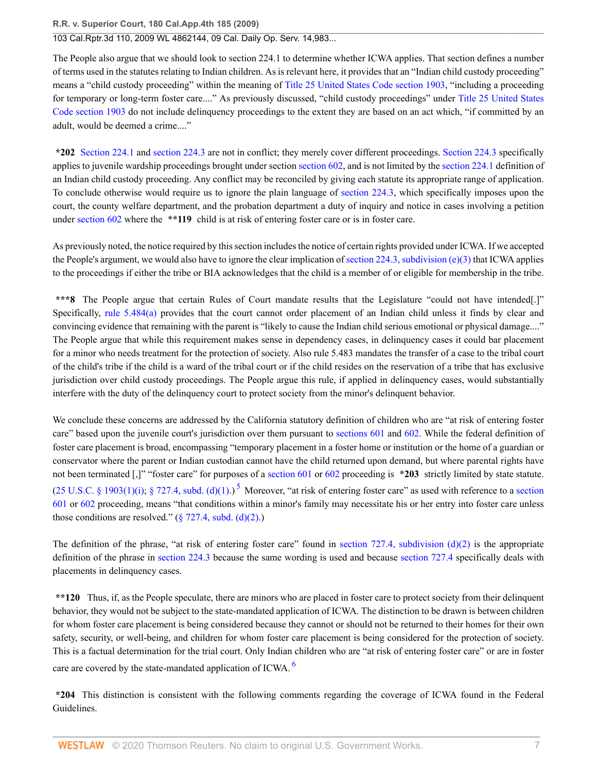# 103 Cal.Rptr.3d 110, 2009 WL 4862144, 09 Cal. Daily Op. Serv. 14,983...

The People also argue that we should look to section 224.1 to determine whether ICWA applies. That section defines a number of terms used in the statutes relating to Indian children. As is relevant here, it provides that an "Indian child custody proceeding" means a "child custody proceeding" within the meaning of [Title 25 United States Code section 1903,](http://www.westlaw.com/Link/Document/FullText?findType=L&pubNum=1000546&cite=25USCAS1903&originatingDoc=I99a66bd4eb8211dea82ab9f4ee295c21&refType=LQ&originationContext=document&vr=3.0&rs=cblt1.0&transitionType=DocumentItem&contextData=(sc.UserEnteredCitation)) "including a proceeding for temporary or long-term foster care...." As previously discussed, "child custody proceedings" under [Title 25 United States](http://www.westlaw.com/Link/Document/FullText?findType=L&pubNum=1000546&cite=25USCAS1903&originatingDoc=I99a66bd4eb8211dea82ab9f4ee295c21&refType=LQ&originationContext=document&vr=3.0&rs=cblt1.0&transitionType=DocumentItem&contextData=(sc.UserEnteredCitation)) [Code section 1903](http://www.westlaw.com/Link/Document/FullText?findType=L&pubNum=1000546&cite=25USCAS1903&originatingDoc=I99a66bd4eb8211dea82ab9f4ee295c21&refType=LQ&originationContext=document&vr=3.0&rs=cblt1.0&transitionType=DocumentItem&contextData=(sc.UserEnteredCitation)) do not include delinquency proceedings to the extent they are based on an act which, "if committed by an adult, would be deemed a crime...."

**\*202** [Section 224.1](http://www.westlaw.com/Link/Document/FullText?findType=L&pubNum=1000228&cite=CAWIS224.1&originatingDoc=I99a66bd4eb8211dea82ab9f4ee295c21&refType=LQ&originationContext=document&vr=3.0&rs=cblt1.0&transitionType=DocumentItem&contextData=(sc.UserEnteredCitation)) and [section 224.3](http://www.westlaw.com/Link/Document/FullText?findType=L&pubNum=1000228&cite=CAWIS224.3&originatingDoc=I99a66bd4eb8211dea82ab9f4ee295c21&refType=LQ&originationContext=document&vr=3.0&rs=cblt1.0&transitionType=DocumentItem&contextData=(sc.UserEnteredCitation)) are not in conflict; they merely cover different proceedings. [Section 224.3](http://www.westlaw.com/Link/Document/FullText?findType=L&pubNum=1000228&cite=CAWIS224.3&originatingDoc=I99a66bd4eb8211dea82ab9f4ee295c21&refType=LQ&originationContext=document&vr=3.0&rs=cblt1.0&transitionType=DocumentItem&contextData=(sc.UserEnteredCitation)) specifically applies to juvenile wardship proceedings brought under section [section 602,](http://www.westlaw.com/Link/Document/FullText?findType=L&pubNum=1000228&cite=CAWIS602&originatingDoc=I99a66bd4eb8211dea82ab9f4ee295c21&refType=LQ&originationContext=document&vr=3.0&rs=cblt1.0&transitionType=DocumentItem&contextData=(sc.UserEnteredCitation)) and is not limited by the [section 224.1](http://www.westlaw.com/Link/Document/FullText?findType=L&pubNum=1000228&cite=CAWIS224.1&originatingDoc=I99a66bd4eb8211dea82ab9f4ee295c21&refType=LQ&originationContext=document&vr=3.0&rs=cblt1.0&transitionType=DocumentItem&contextData=(sc.UserEnteredCitation)) definition of an Indian child custody proceeding. Any conflict may be reconciled by giving each statute its appropriate range of application. To conclude otherwise would require us to ignore the plain language of [section 224.3](http://www.westlaw.com/Link/Document/FullText?findType=L&pubNum=1000228&cite=CAWIS224.3&originatingDoc=I99a66bd4eb8211dea82ab9f4ee295c21&refType=LQ&originationContext=document&vr=3.0&rs=cblt1.0&transitionType=DocumentItem&contextData=(sc.UserEnteredCitation)), which specifically imposes upon the court, the county welfare department, and the probation department a duty of inquiry and notice in cases involving a petition under [section 602](http://www.westlaw.com/Link/Document/FullText?findType=L&pubNum=1000228&cite=CAWIS602&originatingDoc=I99a66bd4eb8211dea82ab9f4ee295c21&refType=LQ&originationContext=document&vr=3.0&rs=cblt1.0&transitionType=DocumentItem&contextData=(sc.UserEnteredCitation)) where the \*\*119 child is at risk of entering foster care or is in foster care.

As previously noted, the notice required by this section includes the notice of certain rights provided under ICWA. If we accepted the People's argument, we would also have to ignore the clear implication of [section 224.3, subdivision \(e\)\(3\)](http://www.westlaw.com/Link/Document/FullText?findType=L&pubNum=1000228&cite=CAWIS224.3&originatingDoc=I99a66bd4eb8211dea82ab9f4ee295c21&refType=SP&originationContext=document&vr=3.0&rs=cblt1.0&transitionType=DocumentItem&contextData=(sc.UserEnteredCitation)#co_pp_7fdd00001ca15) that ICWA applies to the proceedings if either the tribe or BIA acknowledges that the child is a member of or eligible for membership in the tribe.

**\*\*\*8** The People argue that certain Rules of Court mandate results that the Legislature "could not have intended[.]" Specifically, [rule 5.484\(a\)](http://www.westlaw.com/Link/Document/FullText?findType=L&pubNum=1085231&cite=CASTFAMJVR5.484&originatingDoc=I99a66bd4eb8211dea82ab9f4ee295c21&refType=SP&originationContext=document&vr=3.0&rs=cblt1.0&transitionType=DocumentItem&contextData=(sc.UserEnteredCitation)#co_pp_8b3b0000958a4) provides that the court cannot order placement of an Indian child unless it finds by clear and convincing evidence that remaining with the parent is "likely to cause the Indian child serious emotional or physical damage...." The People argue that while this requirement makes sense in dependency cases, in delinquency cases it could bar placement for a minor who needs treatment for the protection of society. Also rule 5.483 mandates the transfer of a case to the tribal court of the child's tribe if the child is a ward of the tribal court or if the child resides on the reservation of a tribe that has exclusive jurisdiction over child custody proceedings. The People argue this rule, if applied in delinquency cases, would substantially interfere with the duty of the delinquency court to protect society from the minor's delinquent behavior.

We conclude these concerns are addressed by the California statutory definition of children who are "at risk of entering foster care" based upon the juvenile court's jurisdiction over them pursuant to [sections 601](http://www.westlaw.com/Link/Document/FullText?findType=L&pubNum=1000228&cite=CAWIS601&originatingDoc=I99a66bd4eb8211dea82ab9f4ee295c21&refType=LQ&originationContext=document&vr=3.0&rs=cblt1.0&transitionType=DocumentItem&contextData=(sc.UserEnteredCitation)) and [602.](http://www.westlaw.com/Link/Document/FullText?findType=L&pubNum=1000228&cite=CAWIS602&originatingDoc=I99a66bd4eb8211dea82ab9f4ee295c21&refType=LQ&originationContext=document&vr=3.0&rs=cblt1.0&transitionType=DocumentItem&contextData=(sc.UserEnteredCitation)) While the federal definition of foster care placement is broad, encompassing "temporary placement in a foster home or institution or the home of a guardian or conservator where the parent or Indian custodian cannot have the child returned upon demand, but where parental rights have not been terminated [,]" "foster care" for purposes of a [section 601](http://www.westlaw.com/Link/Document/FullText?findType=L&pubNum=1000228&cite=CAWIS601&originatingDoc=I99a66bd4eb8211dea82ab9f4ee295c21&refType=LQ&originationContext=document&vr=3.0&rs=cblt1.0&transitionType=DocumentItem&contextData=(sc.UserEnteredCitation)) or [602](http://www.westlaw.com/Link/Document/FullText?findType=L&pubNum=1000228&cite=CAWIS602&originatingDoc=I99a66bd4eb8211dea82ab9f4ee295c21&refType=LQ&originationContext=document&vr=3.0&rs=cblt1.0&transitionType=DocumentItem&contextData=(sc.UserEnteredCitation)) proceeding is **\*203** strictly limited by state statute.  $(25 \text{ U.S.C.} \S 1903(1)(i); \S 727.4, \text{subd.} \left(\frac{d}{1}\right))$  $(25 \text{ U.S.C.} \S 1903(1)(i); \S 727.4, \text{subd.} \left(\frac{d}{1}\right))$  $(25 \text{ U.S.C.} \S 1903(1)(i); \S 727.4, \text{subd.} \left(\frac{d}{1}\right))$ <sup>5</sup> Moreover, "at risk of entering foster care" as used with reference to a [section](http://www.westlaw.com/Link/Document/FullText?findType=L&pubNum=1000228&cite=CAWIS601&originatingDoc=I99a66bd4eb8211dea82ab9f4ee295c21&refType=LQ&originationContext=document&vr=3.0&rs=cblt1.0&transitionType=DocumentItem&contextData=(sc.UserEnteredCitation)) [601](http://www.westlaw.com/Link/Document/FullText?findType=L&pubNum=1000228&cite=CAWIS601&originatingDoc=I99a66bd4eb8211dea82ab9f4ee295c21&refType=LQ&originationContext=document&vr=3.0&rs=cblt1.0&transitionType=DocumentItem&contextData=(sc.UserEnteredCitation)) or [602](http://www.westlaw.com/Link/Document/FullText?findType=L&pubNum=1000228&cite=CAWIS602&originatingDoc=I99a66bd4eb8211dea82ab9f4ee295c21&refType=LQ&originationContext=document&vr=3.0&rs=cblt1.0&transitionType=DocumentItem&contextData=(sc.UserEnteredCitation)) proceeding, means "that conditions within a minor's family may necessitate his or her entry into foster care unless those conditions are resolved."  $(\frac{6}{27.4}, \frac{27.4}{10^{(2)}})$ .

<span id="page-6-0"></span>The definition of the phrase, "at risk of entering foster care" found in section 727.4, subdivision  $(d)(2)$  is the appropriate definition of the phrase in [section 224.3](http://www.westlaw.com/Link/Document/FullText?findType=L&pubNum=1000228&cite=CAWIS224.3&originatingDoc=I99a66bd4eb8211dea82ab9f4ee295c21&refType=LQ&originationContext=document&vr=3.0&rs=cblt1.0&transitionType=DocumentItem&contextData=(sc.UserEnteredCitation)) because the same wording is used and because [section 727.4](http://www.westlaw.com/Link/Document/FullText?findType=L&pubNum=1000228&cite=CAWIS727.4&originatingDoc=I99a66bd4eb8211dea82ab9f4ee295c21&refType=LQ&originationContext=document&vr=3.0&rs=cblt1.0&transitionType=DocumentItem&contextData=(sc.UserEnteredCitation)) specifically deals with placements in delinquency cases.

**\*\*120** Thus, if, as the People speculate, there are minors who are placed in foster care to protect society from their delinquent behavior, they would not be subject to the state-mandated application of ICWA. The distinction to be drawn is between children for whom foster care placement is being considered because they cannot or should not be returned to their homes for their own safety, security, or well-being, and children for whom foster care placement is being considered for the protection of society. This is a factual determination for the trial court. Only Indian children who are "at risk of entering foster care" or are in foster care are covered by the state-mandated application of ICWA. <sup>[6](#page-10-5)</sup>

<span id="page-6-1"></span>**\*204** This distinction is consistent with the following comments regarding the coverage of ICWA found in the Federal Guidelines.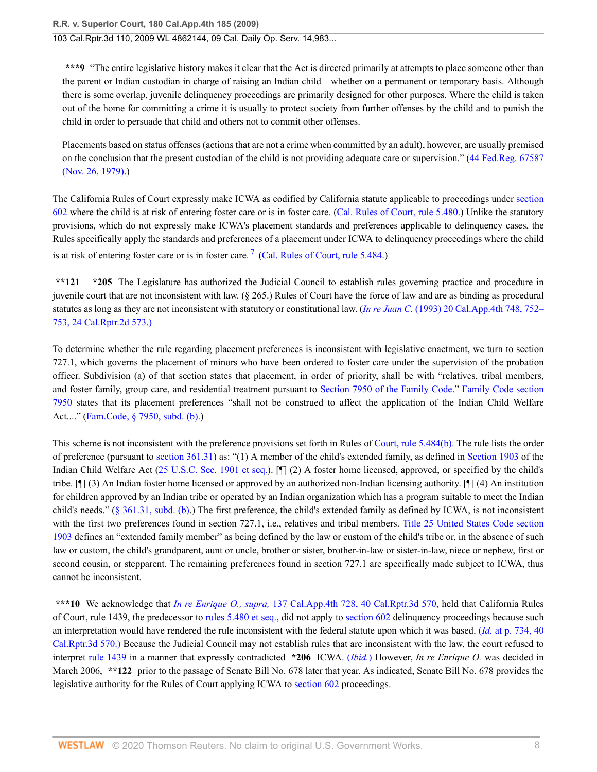**\*\*\*9** "The entire legislative history makes it clear that the Act is directed primarily at attempts to place someone other than the parent or Indian custodian in charge of raising an Indian child—whether on a permanent or temporary basis. Although there is some overlap, juvenile delinquency proceedings are primarily designed for other purposes. Where the child is taken out of the home for committing a crime it is usually to protect society from further offenses by the child and to punish the child in order to persuade that child and others not to commit other offenses.

Placements based on status offenses (actions that are not a crime when committed by an adult), however, are usually premised on the conclusion that the present custodian of the child is not providing adequate care or supervision." ([44 Fed.Reg. 67587](http://www.westlaw.com/Link/Document/FullText?findType=l&pubNum=0184735&cite=UUID(ICD918E004B3111DA943A000BDBC9A81C)&originatingDoc=I99a66bd4eb8211dea82ab9f4ee295c21&refType=CP&originationContext=document&vr=3.0&rs=cblt1.0&transitionType=DocumentItem&contextData=(sc.UserEnteredCitation)) [\(Nov. 26, 1979\)](http://www.westlaw.com/Link/Document/FullText?findType=l&pubNum=0184735&cite=UUID(ICD918E004B3111DA943A000BDBC9A81C)&originatingDoc=I99a66bd4eb8211dea82ab9f4ee295c21&refType=CP&originationContext=document&vr=3.0&rs=cblt1.0&transitionType=DocumentItem&contextData=(sc.UserEnteredCitation)).)

The California Rules of Court expressly make ICWA as codified by California statute applicable to proceedings under [section](http://www.westlaw.com/Link/Document/FullText?findType=L&pubNum=1000228&cite=CAWIS602&originatingDoc=I99a66bd4eb8211dea82ab9f4ee295c21&refType=LQ&originationContext=document&vr=3.0&rs=cblt1.0&transitionType=DocumentItem&contextData=(sc.UserEnteredCitation)) [602](http://www.westlaw.com/Link/Document/FullText?findType=L&pubNum=1000228&cite=CAWIS602&originatingDoc=I99a66bd4eb8211dea82ab9f4ee295c21&refType=LQ&originationContext=document&vr=3.0&rs=cblt1.0&transitionType=DocumentItem&contextData=(sc.UserEnteredCitation)) where the child is at risk of entering foster care or is in foster care. ([Cal. Rules of Court, rule 5.480.](http://www.westlaw.com/Link/Document/FullText?findType=L&pubNum=1085231&cite=CASTFAMJVR5.480&originatingDoc=I99a66bd4eb8211dea82ab9f4ee295c21&refType=LQ&originationContext=document&vr=3.0&rs=cblt1.0&transitionType=DocumentItem&contextData=(sc.UserEnteredCitation))) Unlike the statutory provisions, which do not expressly make ICWA's placement standards and preferences applicable to delinquency cases, the Rules specifically apply the standards and preferences of a placement under ICWA to delinquency proceedings where the child is at risk of entering foster care or is in foster care.<sup>[7](#page-10-6)</sup> ([Cal. Rules of Court, rule 5.484.](http://www.westlaw.com/Link/Document/FullText?findType=L&pubNum=1085231&cite=CASTFAMJVR5.484&originatingDoc=I99a66bd4eb8211dea82ab9f4ee295c21&refType=LQ&originationContext=document&vr=3.0&rs=cblt1.0&transitionType=DocumentItem&contextData=(sc.UserEnteredCitation)))

<span id="page-7-0"></span>**\*\*121 \*205** The Legislature has authorized the Judicial Council to establish rules governing practice and procedure in juvenile court that are not inconsistent with law. (§ 265.) Rules of Court have the force of law and are as binding as procedural statutes as long as they are not inconsistent with statutory or constitutional law. (*In re Juan C.* [\(1993\) 20 Cal.App.4th 748, 752–](http://www.westlaw.com/Link/Document/FullText?findType=Y&serNum=1993223632&pubNum=3484&originatingDoc=I99a66bd4eb8211dea82ab9f4ee295c21&refType=RP&originationContext=document&vr=3.0&rs=cblt1.0&transitionType=DocumentItem&contextData=(sc.UserEnteredCitation)) [753, 24 Cal.Rptr.2d 573.\)](http://www.westlaw.com/Link/Document/FullText?findType=Y&serNum=1993223632&pubNum=3484&originatingDoc=I99a66bd4eb8211dea82ab9f4ee295c21&refType=RP&originationContext=document&vr=3.0&rs=cblt1.0&transitionType=DocumentItem&contextData=(sc.UserEnteredCitation))

To determine whether the rule regarding placement preferences is inconsistent with legislative enactment, we turn to section 727.1, which governs the placement of minors who have been ordered to foster care under the supervision of the probation officer. Subdivision (a) of that section states that placement, in order of priority, shall be with "relatives, tribal members, and foster family, group care, and residential treatment pursuant to [Section 7950 of the Family Code](http://www.westlaw.com/Link/Document/FullText?findType=L&pubNum=1003409&cite=CAFAMS7950&originatingDoc=I99a66bd4eb8211dea82ab9f4ee295c21&refType=LQ&originationContext=document&vr=3.0&rs=cblt1.0&transitionType=DocumentItem&contextData=(sc.UserEnteredCitation))." [Family Code section](http://www.westlaw.com/Link/Document/FullText?findType=L&pubNum=1003409&cite=CAFAMS7950&originatingDoc=I99a66bd4eb8211dea82ab9f4ee295c21&refType=LQ&originationContext=document&vr=3.0&rs=cblt1.0&transitionType=DocumentItem&contextData=(sc.UserEnteredCitation)) [7950](http://www.westlaw.com/Link/Document/FullText?findType=L&pubNum=1003409&cite=CAFAMS7950&originatingDoc=I99a66bd4eb8211dea82ab9f4ee295c21&refType=LQ&originationContext=document&vr=3.0&rs=cblt1.0&transitionType=DocumentItem&contextData=(sc.UserEnteredCitation)) states that its placement preferences "shall not be construed to affect the application of the Indian Child Welfare Act...." ([Fam.Code, § 7950, subd. \(b\)](http://www.westlaw.com/Link/Document/FullText?findType=L&pubNum=1003409&cite=CAFAMS7950&originatingDoc=I99a66bd4eb8211dea82ab9f4ee295c21&refType=SP&originationContext=document&vr=3.0&rs=cblt1.0&transitionType=DocumentItem&contextData=(sc.UserEnteredCitation)#co_pp_a83b000018c76).)

This scheme is not inconsistent with the preference provisions set forth in Rules of [Court, rule 5.484\(b\).](http://www.westlaw.com/Link/Document/FullText?findType=L&pubNum=1085231&cite=CASTFAMJVR5.484&originatingDoc=I99a66bd4eb8211dea82ab9f4ee295c21&refType=SP&originationContext=document&vr=3.0&rs=cblt1.0&transitionType=DocumentItem&contextData=(sc.UserEnteredCitation)#co_pp_a83b000018c76) The rule lists the order of preference (pursuant to [section 361.31\)](http://www.westlaw.com/Link/Document/FullText?findType=L&pubNum=1000228&cite=CAWIS361.31&originatingDoc=I99a66bd4eb8211dea82ab9f4ee295c21&refType=LQ&originationContext=document&vr=3.0&rs=cblt1.0&transitionType=DocumentItem&contextData=(sc.UserEnteredCitation)) as: "(1) A member of the child's extended family, as defined in [Section 1903](http://www.westlaw.com/Link/Document/FullText?findType=L&pubNum=1000546&cite=25USCAS1903&originatingDoc=I99a66bd4eb8211dea82ab9f4ee295c21&refType=LQ&originationContext=document&vr=3.0&rs=cblt1.0&transitionType=DocumentItem&contextData=(sc.UserEnteredCitation)) of the Indian Child Welfare Act ([25 U.S.C. Sec. 1901 et seq.](http://www.westlaw.com/Link/Document/FullText?findType=L&pubNum=1000546&cite=25USCAS1901&originatingDoc=I99a66bd4eb8211dea82ab9f4ee295c21&refType=LQ&originationContext=document&vr=3.0&rs=cblt1.0&transitionType=DocumentItem&contextData=(sc.UserEnteredCitation))). [[] (2) A foster home licensed, approved, or specified by the child's tribe. [¶] (3) An Indian foster home licensed or approved by an authorized non-Indian licensing authority. [¶] (4) An institution for children approved by an Indian tribe or operated by an Indian organization which has a program suitable to meet the Indian child's needs." [\(§ 361.31, subd. \(b\)](http://www.westlaw.com/Link/Document/FullText?findType=L&pubNum=1000228&cite=CAWIS361.31&originatingDoc=I99a66bd4eb8211dea82ab9f4ee295c21&refType=SP&originationContext=document&vr=3.0&rs=cblt1.0&transitionType=DocumentItem&contextData=(sc.UserEnteredCitation)#co_pp_a83b000018c76).) The first preference, the child's extended family as defined by ICWA, is not inconsistent with the first two preferences found in section 727.1, i.e., relatives and tribal members. [Title 25 United States Code section](http://www.westlaw.com/Link/Document/FullText?findType=L&pubNum=1000546&cite=25USCAS1903&originatingDoc=I99a66bd4eb8211dea82ab9f4ee295c21&refType=LQ&originationContext=document&vr=3.0&rs=cblt1.0&transitionType=DocumentItem&contextData=(sc.UserEnteredCitation)) [1903](http://www.westlaw.com/Link/Document/FullText?findType=L&pubNum=1000546&cite=25USCAS1903&originatingDoc=I99a66bd4eb8211dea82ab9f4ee295c21&refType=LQ&originationContext=document&vr=3.0&rs=cblt1.0&transitionType=DocumentItem&contextData=(sc.UserEnteredCitation)) defines an "extended family member" as being defined by the law or custom of the child's tribe or, in the absence of such law or custom, the child's grandparent, aunt or uncle, brother or sister, brother-in-law or sister-in-law, niece or nephew, first or second cousin, or stepparent. The remaining preferences found in section 727.1 are specifically made subject to ICWA, thus cannot be inconsistent.

**\*\*\*10** We acknowledge that *In re Enrique O., supra,* [137 Cal.App.4th 728, 40 Cal.Rptr.3d 570,](http://www.westlaw.com/Link/Document/FullText?findType=Y&serNum=2008662464&pubNum=7047&originatingDoc=I99a66bd4eb8211dea82ab9f4ee295c21&refType=RP&originationContext=document&vr=3.0&rs=cblt1.0&transitionType=DocumentItem&contextData=(sc.UserEnteredCitation)) held that California Rules of Court, rule 1439, the predecessor to [rules 5.480 et seq.,](http://www.westlaw.com/Link/Document/FullText?findType=L&pubNum=1085231&cite=CASTFAMJVR5.480&originatingDoc=I99a66bd4eb8211dea82ab9f4ee295c21&refType=LQ&originationContext=document&vr=3.0&rs=cblt1.0&transitionType=DocumentItem&contextData=(sc.UserEnteredCitation)) did not apply to [section 602](http://www.westlaw.com/Link/Document/FullText?findType=L&pubNum=1000228&cite=CAWIS602&originatingDoc=I99a66bd4eb8211dea82ab9f4ee295c21&refType=LQ&originationContext=document&vr=3.0&rs=cblt1.0&transitionType=DocumentItem&contextData=(sc.UserEnteredCitation)) delinquency proceedings because such an interpretation would have rendered the rule inconsistent with the federal statute upon which it was based. (*Id.* [at p. 734, 40](http://www.westlaw.com/Link/Document/FullText?findType=Y&serNum=2008662464&pubNum=7047&originatingDoc=I99a66bd4eb8211dea82ab9f4ee295c21&refType=RP&originationContext=document&vr=3.0&rs=cblt1.0&transitionType=DocumentItem&contextData=(sc.UserEnteredCitation)) [Cal.Rptr.3d 570.\)](http://www.westlaw.com/Link/Document/FullText?findType=Y&serNum=2008662464&pubNum=7047&originatingDoc=I99a66bd4eb8211dea82ab9f4ee295c21&refType=RP&originationContext=document&vr=3.0&rs=cblt1.0&transitionType=DocumentItem&contextData=(sc.UserEnteredCitation)) Because the Judicial Council may not establish rules that are inconsistent with the law, the court refused to interpret [rule 1439](http://www.westlaw.com/Link/Document/FullText?findType=L&pubNum=1000298&cite=CATRCR1439&originatingDoc=I99a66bd4eb8211dea82ab9f4ee295c21&refType=LQ&originationContext=document&vr=3.0&rs=cblt1.0&transitionType=DocumentItem&contextData=(sc.UserEnteredCitation)) in a manner that expressly contradicted **\*206** ICWA. (*[Ibid.](http://www.westlaw.com/Link/Document/FullText?findType=Y&serNum=2008662464&originatingDoc=I99a66bd4eb8211dea82ab9f4ee295c21&refType=RP&originationContext=document&vr=3.0&rs=cblt1.0&transitionType=DocumentItem&contextData=(sc.UserEnteredCitation))*) However, *In re Enrique O.* was decided in March 2006, \*\*122 prior to the passage of Senate Bill No. 678 later that year. As indicated, Senate Bill No. 678 provides the legislative authority for the Rules of Court applying ICWA to [section 602](http://www.westlaw.com/Link/Document/FullText?findType=L&pubNum=1000228&cite=CAWIS602&originatingDoc=I99a66bd4eb8211dea82ab9f4ee295c21&refType=LQ&originationContext=document&vr=3.0&rs=cblt1.0&transitionType=DocumentItem&contextData=(sc.UserEnteredCitation)) proceedings.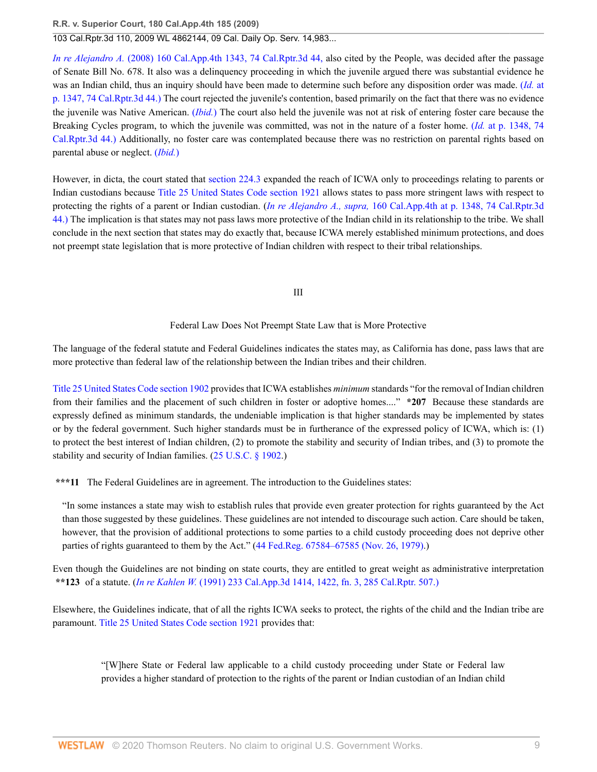103 Cal.Rptr.3d 110, 2009 WL 4862144, 09 Cal. Daily Op. Serv. 14,983...

*In re Alejandro A.* [\(2008\) 160 Cal.App.4th 1343, 74 Cal.Rptr.3d 44,](http://www.westlaw.com/Link/Document/FullText?findType=Y&serNum=2015399725&pubNum=7047&originatingDoc=I99a66bd4eb8211dea82ab9f4ee295c21&refType=RP&originationContext=document&vr=3.0&rs=cblt1.0&transitionType=DocumentItem&contextData=(sc.UserEnteredCitation)) also cited by the People, was decided after the passage of Senate Bill No. 678. It also was a delinquency proceeding in which the juvenile argued there was substantial evidence he was an Indian child, thus an inquiry should have been made to determine such before any disposition order was made. (*[Id.](http://www.westlaw.com/Link/Document/FullText?findType=Y&serNum=2015399725&pubNum=7047&originatingDoc=I99a66bd4eb8211dea82ab9f4ee295c21&refType=RP&originationContext=document&vr=3.0&rs=cblt1.0&transitionType=DocumentItem&contextData=(sc.UserEnteredCitation))* at [p. 1347, 74 Cal.Rptr.3d 44.\)](http://www.westlaw.com/Link/Document/FullText?findType=Y&serNum=2015399725&pubNum=7047&originatingDoc=I99a66bd4eb8211dea82ab9f4ee295c21&refType=RP&originationContext=document&vr=3.0&rs=cblt1.0&transitionType=DocumentItem&contextData=(sc.UserEnteredCitation)) The court rejected the juvenile's contention, based primarily on the fact that there was no evidence the juvenile was Native American. (*[Ibid.](http://www.westlaw.com/Link/Document/FullText?findType=Y&serNum=2015399725&originatingDoc=I99a66bd4eb8211dea82ab9f4ee295c21&refType=RP&originationContext=document&vr=3.0&rs=cblt1.0&transitionType=DocumentItem&contextData=(sc.UserEnteredCitation))*) The court also held the juvenile was not at risk of entering foster care because the Breaking Cycles program, to which the juvenile was committed, was not in the nature of a foster home. (*Id.* [at p. 1348, 74](http://www.westlaw.com/Link/Document/FullText?findType=Y&serNum=2015399725&pubNum=7047&originatingDoc=I99a66bd4eb8211dea82ab9f4ee295c21&refType=RP&originationContext=document&vr=3.0&rs=cblt1.0&transitionType=DocumentItem&contextData=(sc.UserEnteredCitation)) [Cal.Rptr.3d 44.\)](http://www.westlaw.com/Link/Document/FullText?findType=Y&serNum=2015399725&pubNum=7047&originatingDoc=I99a66bd4eb8211dea82ab9f4ee295c21&refType=RP&originationContext=document&vr=3.0&rs=cblt1.0&transitionType=DocumentItem&contextData=(sc.UserEnteredCitation)) Additionally, no foster care was contemplated because there was no restriction on parental rights based on parental abuse or neglect. (*[Ibid.](http://www.westlaw.com/Link/Document/FullText?findType=Y&serNum=2015399725&originatingDoc=I99a66bd4eb8211dea82ab9f4ee295c21&refType=RP&originationContext=document&vr=3.0&rs=cblt1.0&transitionType=DocumentItem&contextData=(sc.UserEnteredCitation))*)

However, in dicta, the court stated that [section 224.3](http://www.westlaw.com/Link/Document/FullText?findType=L&pubNum=1000228&cite=CAWIS224.3&originatingDoc=I99a66bd4eb8211dea82ab9f4ee295c21&refType=LQ&originationContext=document&vr=3.0&rs=cblt1.0&transitionType=DocumentItem&contextData=(sc.UserEnteredCitation)) expanded the reach of ICWA only to proceedings relating to parents or Indian custodians because [Title 25 United States Code section 1921](http://www.westlaw.com/Link/Document/FullText?findType=L&pubNum=1000546&cite=25USCAS1921&originatingDoc=I99a66bd4eb8211dea82ab9f4ee295c21&refType=LQ&originationContext=document&vr=3.0&rs=cblt1.0&transitionType=DocumentItem&contextData=(sc.UserEnteredCitation)) allows states to pass more stringent laws with respect to protecting the rights of a parent or Indian custodian. (*In re Alejandro A., supra,* [160 Cal.App.4th at p. 1348, 74 Cal.Rptr.3d](http://www.westlaw.com/Link/Document/FullText?findType=Y&serNum=2015399725&pubNum=7047&originatingDoc=I99a66bd4eb8211dea82ab9f4ee295c21&refType=RP&originationContext=document&vr=3.0&rs=cblt1.0&transitionType=DocumentItem&contextData=(sc.UserEnteredCitation)) [44.\)](http://www.westlaw.com/Link/Document/FullText?findType=Y&serNum=2015399725&pubNum=7047&originatingDoc=I99a66bd4eb8211dea82ab9f4ee295c21&refType=RP&originationContext=document&vr=3.0&rs=cblt1.0&transitionType=DocumentItem&contextData=(sc.UserEnteredCitation)) The implication is that states may not pass laws more protective of the Indian child in its relationship to the tribe. We shall conclude in the next section that states may do exactly that, because ICWA merely established minimum protections, and does not preempt state legislation that is more protective of Indian children with respect to their tribal relationships.

# III

#### Federal Law Does Not Preempt State Law that is More Protective

The language of the federal statute and Federal Guidelines indicates the states may, as California has done, pass laws that are more protective than federal law of the relationship between the Indian tribes and their children.

[Title 25 United States Code section 1902](http://www.westlaw.com/Link/Document/FullText?findType=L&pubNum=1000546&cite=25USCAS1902&originatingDoc=I99a66bd4eb8211dea82ab9f4ee295c21&refType=LQ&originationContext=document&vr=3.0&rs=cblt1.0&transitionType=DocumentItem&contextData=(sc.UserEnteredCitation)) provides that ICWA establishes *minimum* standards "for the removal of Indian children from their families and the placement of such children in foster or adoptive homes...." **\*207** Because these standards are expressly defined as minimum standards, the undeniable implication is that higher standards may be implemented by states or by the federal government. Such higher standards must be in furtherance of the expressed policy of ICWA, which is: (1) to protect the best interest of Indian children, (2) to promote the stability and security of Indian tribes, and (3) to promote the stability and security of Indian families. [\(25 U.S.C. § 1902.](http://www.westlaw.com/Link/Document/FullText?findType=L&pubNum=1000546&cite=25USCAS1902&originatingDoc=I99a66bd4eb8211dea82ab9f4ee295c21&refType=LQ&originationContext=document&vr=3.0&rs=cblt1.0&transitionType=DocumentItem&contextData=(sc.UserEnteredCitation)))

**\*\*\*11** The Federal Guidelines are in agreement. The introduction to the Guidelines states:

"In some instances a state may wish to establish rules that provide even greater protection for rights guaranteed by the Act than those suggested by these guidelines. These guidelines are not intended to discourage such action. Care should be taken, however, that the provision of additional protections to some parties to a child custody proceeding does not deprive other parties of rights guaranteed to them by the Act." ([44 Fed.Reg. 67584–67585 \(Nov. 26, 1979\)](http://www.westlaw.com/Link/Document/FullText?findType=l&pubNum=0184735&cite=UUID(ICD918E004B3111DA943A000BDBC9A81C)&originatingDoc=I99a66bd4eb8211dea82ab9f4ee295c21&refType=CP&originationContext=document&vr=3.0&rs=cblt1.0&transitionType=DocumentItem&contextData=(sc.UserEnteredCitation)).)

Even though the Guidelines are not binding on state courts, they are entitled to great weight as administrative interpretation **\*\*123** of a statute. (*In re Kahlen W.* [\(1991\) 233 Cal.App.3d 1414, 1422, fn. 3, 285 Cal.Rptr. 507.\)](http://www.westlaw.com/Link/Document/FullText?findType=Y&serNum=1991155502&pubNum=227&originatingDoc=I99a66bd4eb8211dea82ab9f4ee295c21&refType=RP&originationContext=document&vr=3.0&rs=cblt1.0&transitionType=DocumentItem&contextData=(sc.UserEnteredCitation))

Elsewhere, the Guidelines indicate, that of all the rights ICWA seeks to protect, the rights of the child and the Indian tribe are paramount. [Title 25 United States Code section 1921](http://www.westlaw.com/Link/Document/FullText?findType=L&pubNum=1000546&cite=25USCAS1921&originatingDoc=I99a66bd4eb8211dea82ab9f4ee295c21&refType=LQ&originationContext=document&vr=3.0&rs=cblt1.0&transitionType=DocumentItem&contextData=(sc.UserEnteredCitation)) provides that:

"[W]here State or Federal law applicable to a child custody proceeding under State or Federal law provides a higher standard of protection to the rights of the parent or Indian custodian of an Indian child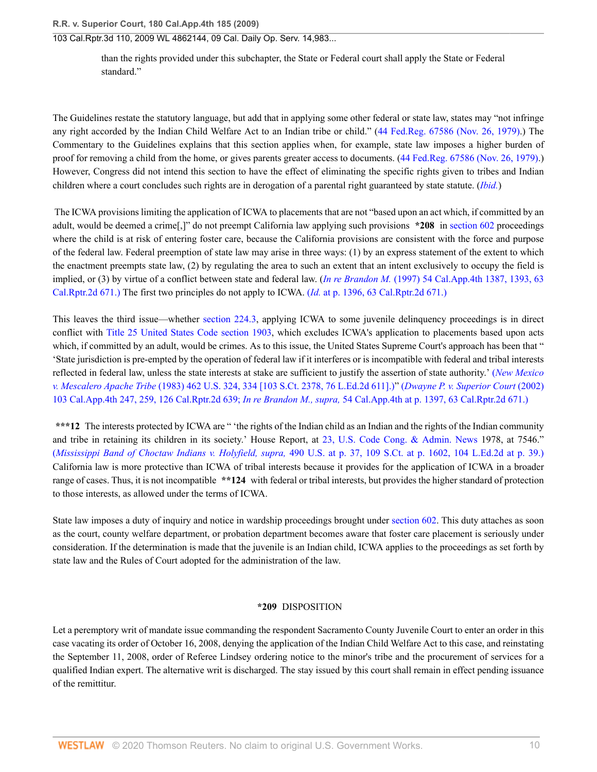than the rights provided under this subchapter, the State or Federal court shall apply the State or Federal standard."

The Guidelines restate the statutory language, but add that in applying some other federal or state law, states may "not infringe any right accorded by the Indian Child Welfare Act to an Indian tribe or child." ([44 Fed.Reg. 67586 \(Nov. 26, 1979\)](http://www.westlaw.com/Link/Document/FullText?findType=l&pubNum=0184735&cite=UUID(ICD918E004B3111DA943A000BDBC9A81C)&originatingDoc=I99a66bd4eb8211dea82ab9f4ee295c21&refType=CP&originationContext=document&vr=3.0&rs=cblt1.0&transitionType=DocumentItem&contextData=(sc.UserEnteredCitation)).) The Commentary to the Guidelines explains that this section applies when, for example, state law imposes a higher burden of proof for removing a child from the home, or gives parents greater access to documents. ([44 Fed.Reg. 67586 \(Nov. 26, 1979\)](http://www.westlaw.com/Link/Document/FullText?findType=l&pubNum=0184735&cite=UUID(ICD918E004B3111DA943A000BDBC9A81C)&originatingDoc=I99a66bd4eb8211dea82ab9f4ee295c21&refType=CP&originationContext=document&vr=3.0&rs=cblt1.0&transitionType=DocumentItem&contextData=(sc.UserEnteredCitation)).) However, Congress did not intend this section to have the effect of eliminating the specific rights given to tribes and Indian children where a court concludes such rights are in derogation of a parental right guaranteed by state statute. (*[Ibid.](http://www.westlaw.com/Link/Document/FullText?findType=l&pubNum=0184735&cite=UUID(ICD918E004B3111DA943A000BDBC9A81C)&originatingDoc=I99a66bd4eb8211dea82ab9f4ee295c21&refType=CP&originationContext=document&vr=3.0&rs=cblt1.0&transitionType=DocumentItem&contextData=(sc.UserEnteredCitation))*)

 The ICWA provisions limiting the application of ICWA to placements that are not "based upon an act which, if committed by an adult, would be deemed a crime[,]" do not preempt California law applying such provisions **\*208** in [section 602](http://www.westlaw.com/Link/Document/FullText?findType=L&pubNum=1000228&cite=CAWIS602&originatingDoc=I99a66bd4eb8211dea82ab9f4ee295c21&refType=LQ&originationContext=document&vr=3.0&rs=cblt1.0&transitionType=DocumentItem&contextData=(sc.UserEnteredCitation)) proceedings where the child is at risk of entering foster care, because the California provisions are consistent with the force and purpose of the federal law. Federal preemption of state law may arise in three ways: (1) by an express statement of the extent to which the enactment preempts state law, (2) by regulating the area to such an extent that an intent exclusively to occupy the field is implied, or (3) by virtue of a conflict between state and federal law. (*In re Brandon M.* [\(1997\) 54 Cal.App.4th 1387, 1393, 63](http://www.westlaw.com/Link/Document/FullText?findType=Y&serNum=1997108638&pubNum=3484&originatingDoc=I99a66bd4eb8211dea82ab9f4ee295c21&refType=RP&originationContext=document&vr=3.0&rs=cblt1.0&transitionType=DocumentItem&contextData=(sc.UserEnteredCitation)) [Cal.Rptr.2d 671.\)](http://www.westlaw.com/Link/Document/FullText?findType=Y&serNum=1997108638&pubNum=3484&originatingDoc=I99a66bd4eb8211dea82ab9f4ee295c21&refType=RP&originationContext=document&vr=3.0&rs=cblt1.0&transitionType=DocumentItem&contextData=(sc.UserEnteredCitation)) The first two principles do not apply to ICWA. (*Id.* [at p. 1396, 63 Cal.Rptr.2d 671.\)](http://www.westlaw.com/Link/Document/FullText?findType=Y&serNum=1997108638&pubNum=3484&originatingDoc=I99a66bd4eb8211dea82ab9f4ee295c21&refType=RP&originationContext=document&vr=3.0&rs=cblt1.0&transitionType=DocumentItem&contextData=(sc.UserEnteredCitation))

This leaves the third issue—whether [section 224.3,](http://www.westlaw.com/Link/Document/FullText?findType=L&pubNum=1000228&cite=CAWIS224.3&originatingDoc=I99a66bd4eb8211dea82ab9f4ee295c21&refType=LQ&originationContext=document&vr=3.0&rs=cblt1.0&transitionType=DocumentItem&contextData=(sc.UserEnteredCitation)) applying ICWA to some juvenile delinquency proceedings is in direct conflict with [Title 25 United States Code section 1903,](http://www.westlaw.com/Link/Document/FullText?findType=L&pubNum=1000546&cite=25USCAS1903&originatingDoc=I99a66bd4eb8211dea82ab9f4ee295c21&refType=LQ&originationContext=document&vr=3.0&rs=cblt1.0&transitionType=DocumentItem&contextData=(sc.UserEnteredCitation)) which excludes ICWA's application to placements based upon acts which, if committed by an adult, would be crimes. As to this issue, the United States Supreme Court's approach has been that " 'State jurisdiction is pre-empted by the operation of federal law if it interferes or is incompatible with federal and tribal interests reflected in federal law, unless the state interests at stake are sufficient to justify the assertion of state authority.' (*[New Mexico](http://www.westlaw.com/Link/Document/FullText?findType=Y&serNum=1983127668&pubNum=708&originatingDoc=I99a66bd4eb8211dea82ab9f4ee295c21&refType=RP&originationContext=document&vr=3.0&rs=cblt1.0&transitionType=DocumentItem&contextData=(sc.UserEnteredCitation)) v. Mescalero Apache Tribe* [\(1983\) 462 U.S. 324, 334 \[103 S.Ct. 2378, 76 L.Ed.2d 611\].\)"](http://www.westlaw.com/Link/Document/FullText?findType=Y&serNum=1983127668&pubNum=708&originatingDoc=I99a66bd4eb8211dea82ab9f4ee295c21&refType=RP&originationContext=document&vr=3.0&rs=cblt1.0&transitionType=DocumentItem&contextData=(sc.UserEnteredCitation)) (*[Dwayne P. v. Superior Court](http://www.westlaw.com/Link/Document/FullText?findType=Y&serNum=2002690427&pubNum=3484&originatingDoc=I99a66bd4eb8211dea82ab9f4ee295c21&refType=RP&originationContext=document&vr=3.0&rs=cblt1.0&transitionType=DocumentItem&contextData=(sc.UserEnteredCitation))* (2002) [103 Cal.App.4th 247, 259, 126 Cal.Rptr.2d 639;](http://www.westlaw.com/Link/Document/FullText?findType=Y&serNum=2002690427&pubNum=3484&originatingDoc=I99a66bd4eb8211dea82ab9f4ee295c21&refType=RP&originationContext=document&vr=3.0&rs=cblt1.0&transitionType=DocumentItem&contextData=(sc.UserEnteredCitation)) *In re Brandon M., supra,* [54 Cal.App.4th at p. 1397, 63 Cal.Rptr.2d 671.\)](http://www.westlaw.com/Link/Document/FullText?findType=Y&serNum=1997108638&pubNum=3484&originatingDoc=I99a66bd4eb8211dea82ab9f4ee295c21&refType=RP&originationContext=document&vr=3.0&rs=cblt1.0&transitionType=DocumentItem&contextData=(sc.UserEnteredCitation))

**\*\*\*12** The interests protected by ICWA are " 'the rights of the Indian child as an Indian and the rights of the Indian community and tribe in retaining its children in its society.' House Report, at [23, U.S. Code Cong. & Admin. News](http://www.westlaw.com/Link/Document/FullText?findType=L&pubNum=1000592&cite=USCCAR23&originatingDoc=I99a66bd4eb8211dea82ab9f4ee295c21&refType=LQ&originationContext=document&vr=3.0&rs=cblt1.0&transitionType=DocumentItem&contextData=(sc.UserEnteredCitation)) 1978, at 7546." (*Mississippi Band of Choctaw Indians v. Holyfield, supra,* [490 U.S. at p. 37, 109 S.Ct. at p. 1602, 104 L.Ed.2d at p. 39.\)](http://www.westlaw.com/Link/Document/FullText?findType=Y&serNum=1989048372&pubNum=708&originatingDoc=I99a66bd4eb8211dea82ab9f4ee295c21&refType=RP&fi=co_pp_sp_708_1602&originationContext=document&vr=3.0&rs=cblt1.0&transitionType=DocumentItem&contextData=(sc.UserEnteredCitation)#co_pp_sp_708_1602) California law is more protective than ICWA of tribal interests because it provides for the application of ICWA in a broader range of cases. Thus, it is not incompatible **\*\*124** with federal or tribal interests, but provides the higher standard of protection to those interests, as allowed under the terms of ICWA.

State law imposes a duty of inquiry and notice in wardship proceedings brought under [section 602.](http://www.westlaw.com/Link/Document/FullText?findType=L&pubNum=1000228&cite=CAWIS602&originatingDoc=I99a66bd4eb8211dea82ab9f4ee295c21&refType=LQ&originationContext=document&vr=3.0&rs=cblt1.0&transitionType=DocumentItem&contextData=(sc.UserEnteredCitation)) This duty attaches as soon as the court, county welfare department, or probation department becomes aware that foster care placement is seriously under consideration. If the determination is made that the juvenile is an Indian child, ICWA applies to the proceedings as set forth by state law and the Rules of Court adopted for the administration of the law.

# **\*209** DISPOSITION

Let a peremptory writ of mandate issue commanding the respondent Sacramento County Juvenile Court to enter an order in this case vacating its order of October 16, 2008, denying the application of the Indian Child Welfare Act to this case, and reinstating the September 11, 2008, order of Referee Lindsey ordering notice to the minor's tribe and the procurement of services for a qualified Indian expert. The alternative writ is discharged. The stay issued by this court shall remain in effect pending issuance of the remittitur.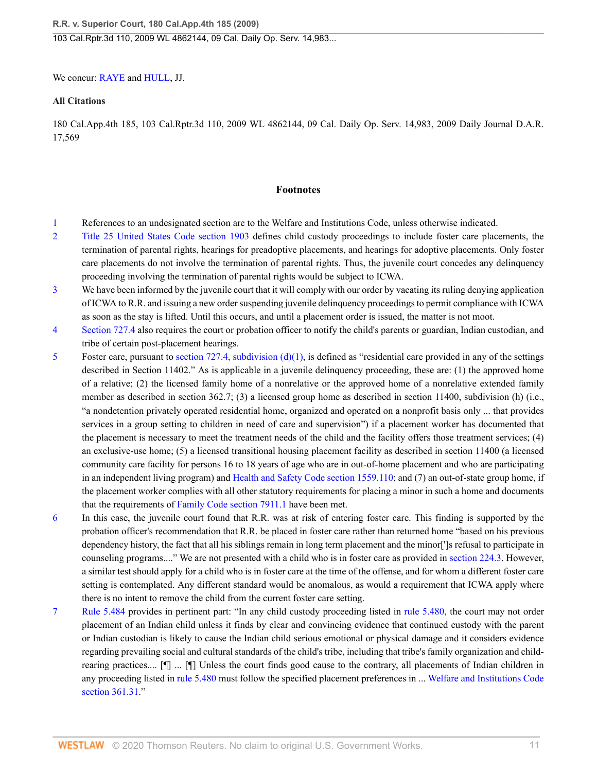We concur: [RAYE](http://www.westlaw.com/Link/Document/FullText?findType=h&pubNum=176284&cite=0174985301&originatingDoc=I99a66bd4eb8211dea82ab9f4ee295c21&refType=RQ&originationContext=document&vr=3.0&rs=cblt1.0&transitionType=DocumentItem&contextData=(sc.UserEnteredCitation)) and [HULL](http://www.westlaw.com/Link/Document/FullText?findType=h&pubNum=176284&cite=0201358401&originatingDoc=I99a66bd4eb8211dea82ab9f4ee295c21&refType=RQ&originationContext=document&vr=3.0&rs=cblt1.0&transitionType=DocumentItem&contextData=(sc.UserEnteredCitation)), JJ.

### **All Citations**

180 Cal.App.4th 185, 103 Cal.Rptr.3d 110, 2009 WL 4862144, 09 Cal. Daily Op. Serv. 14,983, 2009 Daily Journal D.A.R. 17,569

#### **Footnotes**

- <span id="page-10-0"></span>[1](#page-1-0) References to an undesignated section are to the Welfare and Institutions Code, unless otherwise indicated.
- <span id="page-10-1"></span>[2](#page-1-1) [Title 25 United States Code section 1903](http://www.westlaw.com/Link/Document/FullText?findType=L&pubNum=1000546&cite=25USCAS1903&originatingDoc=I99a66bd4eb8211dea82ab9f4ee295c21&refType=LQ&originationContext=document&vr=3.0&rs=cblt1.0&transitionType=DocumentItem&contextData=(sc.UserEnteredCitation)) defines child custody proceedings to include foster care placements, the termination of parental rights, hearings for preadoptive placements, and hearings for adoptive placements. Only foster care placements do not involve the termination of parental rights. Thus, the juvenile court concedes any delinquency proceeding involving the termination of parental rights would be subject to ICWA.
- <span id="page-10-2"></span>[3](#page-2-0) We have been informed by the juvenile court that it will comply with our order by vacating its ruling denying application of ICWA to R.R. and issuing a new order suspending juvenile delinquency proceedings to permit compliance with ICWA as soon as the stay is lifted. Until this occurs, and until a placement order is issued, the matter is not moot.
- <span id="page-10-3"></span>[4](#page-5-0) [Section 727.4](http://www.westlaw.com/Link/Document/FullText?findType=L&pubNum=1000228&cite=CAWIS727.4&originatingDoc=I99a66bd4eb8211dea82ab9f4ee295c21&refType=LQ&originationContext=document&vr=3.0&rs=cblt1.0&transitionType=DocumentItem&contextData=(sc.UserEnteredCitation)) also requires the court or probation officer to notify the child's parents or guardian, Indian custodian, and tribe of certain post-placement hearings.
- <span id="page-10-4"></span>[5](#page-6-0) Foster care, pursuant to section 727.4, subdivision  $(d)(1)$ , is defined as "residential care provided in any of the settings described in Section 11402." As is applicable in a juvenile delinquency proceeding, these are: (1) the approved home of a relative; (2) the licensed family home of a nonrelative or the approved home of a nonrelative extended family member as described in section 362.7; (3) a licensed group home as described in section 11400, subdivision (h) (i.e., "a nondetention privately operated residential home, organized and operated on a nonprofit basis only ... that provides services in a group setting to children in need of care and supervision") if a placement worker has documented that the placement is necessary to meet the treatment needs of the child and the facility offers those treatment services; (4) an exclusive-use home; (5) a licensed transitional housing placement facility as described in section 11400 (a licensed community care facility for persons 16 to 18 years of age who are in out-of-home placement and who are participating in an independent living program) and [Health and Safety Code section 1559.110](http://www.westlaw.com/Link/Document/FullText?findType=L&pubNum=1000213&cite=CAHSS1559.110&originatingDoc=I99a66bd4eb8211dea82ab9f4ee295c21&refType=LQ&originationContext=document&vr=3.0&rs=cblt1.0&transitionType=DocumentItem&contextData=(sc.UserEnteredCitation)); and (7) an out-of-state group home, if the placement worker complies with all other statutory requirements for placing a minor in such a home and documents that the requirements of [Family Code section 7911.1](http://www.westlaw.com/Link/Document/FullText?findType=L&pubNum=1003409&cite=CAFAMS7911.1&originatingDoc=I99a66bd4eb8211dea82ab9f4ee295c21&refType=LQ&originationContext=document&vr=3.0&rs=cblt1.0&transitionType=DocumentItem&contextData=(sc.UserEnteredCitation)) have been met.
- <span id="page-10-5"></span>[6](#page-6-1) In this case, the juvenile court found that R.R. was at risk of entering foster care. This finding is supported by the probation officer's recommendation that R.R. be placed in foster care rather than returned home "based on his previous dependency history, the fact that all his siblings remain in long term placement and the minor[']s refusal to participate in counseling programs...." We are not presented with a child who is in foster care as provided in [section 224.3](http://www.westlaw.com/Link/Document/FullText?findType=L&pubNum=1000228&cite=CAWIS224.3&originatingDoc=I99a66bd4eb8211dea82ab9f4ee295c21&refType=LQ&originationContext=document&vr=3.0&rs=cblt1.0&transitionType=DocumentItem&contextData=(sc.UserEnteredCitation)). However, a similar test should apply for a child who is in foster care at the time of the offense, and for whom a different foster care setting is contemplated. Any different standard would be anomalous, as would a requirement that ICWA apply where there is no intent to remove the child from the current foster care setting.
- <span id="page-10-6"></span>[7](#page-7-0) [Rule 5.484](http://www.westlaw.com/Link/Document/FullText?findType=L&pubNum=1085231&cite=CASTFAMJVR5.484&originatingDoc=I99a66bd4eb8211dea82ab9f4ee295c21&refType=LQ&originationContext=document&vr=3.0&rs=cblt1.0&transitionType=DocumentItem&contextData=(sc.UserEnteredCitation)) provides in pertinent part: "In any child custody proceeding listed in [rule 5.480,](http://www.westlaw.com/Link/Document/FullText?findType=L&pubNum=1085231&cite=CASTFAMJVR5.480&originatingDoc=I99a66bd4eb8211dea82ab9f4ee295c21&refType=LQ&originationContext=document&vr=3.0&rs=cblt1.0&transitionType=DocumentItem&contextData=(sc.UserEnteredCitation)) the court may not order placement of an Indian child unless it finds by clear and convincing evidence that continued custody with the parent or Indian custodian is likely to cause the Indian child serious emotional or physical damage and it considers evidence regarding prevailing social and cultural standards of the child's tribe, including that tribe's family organization and childrearing practices.... [¶] ... [¶] Unless the court finds good cause to the contrary, all placements of Indian children in any proceeding listed in [rule 5.480](http://www.westlaw.com/Link/Document/FullText?findType=L&pubNum=1085231&cite=CASTFAMJVR5.480&originatingDoc=I99a66bd4eb8211dea82ab9f4ee295c21&refType=LQ&originationContext=document&vr=3.0&rs=cblt1.0&transitionType=DocumentItem&contextData=(sc.UserEnteredCitation)) must follow the specified placement preferences in ... [Welfare and Institutions Code](http://www.westlaw.com/Link/Document/FullText?findType=L&pubNum=1000228&cite=CAWIS361.31&originatingDoc=I99a66bd4eb8211dea82ab9f4ee295c21&refType=LQ&originationContext=document&vr=3.0&rs=cblt1.0&transitionType=DocumentItem&contextData=(sc.UserEnteredCitation)) [section 361.31](http://www.westlaw.com/Link/Document/FullText?findType=L&pubNum=1000228&cite=CAWIS361.31&originatingDoc=I99a66bd4eb8211dea82ab9f4ee295c21&refType=LQ&originationContext=document&vr=3.0&rs=cblt1.0&transitionType=DocumentItem&contextData=(sc.UserEnteredCitation))."